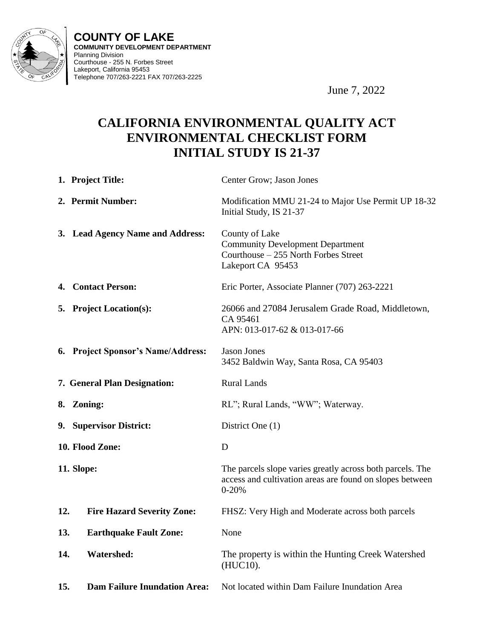

**COUNTY OF LAKE COMMUNITY DEVELOPMENT DEPARTMENT** Planning Division Courthouse - 255 N. Forbes Street Lakeport, California 95453 Telephone 707/263-2221 FAX 707/263-2225

June 7, 2022

# **CALIFORNIA ENVIRONMENTAL QUALITY ACT ENVIRONMENTAL CHECKLIST FORM INITIAL STUDY IS 21-37**

|            | 1. Project Title:                   | Center Grow; Jason Jones                                                                                                           |
|------------|-------------------------------------|------------------------------------------------------------------------------------------------------------------------------------|
|            | 2. Permit Number:                   | Modification MMU 21-24 to Major Use Permit UP 18-32<br>Initial Study, IS 21-37                                                     |
|            | 3. Lead Agency Name and Address:    | County of Lake<br><b>Community Development Department</b><br>Courthouse – 255 North Forbes Street<br>Lakeport CA 95453             |
|            | 4. Contact Person:                  | Eric Porter, Associate Planner (707) 263-2221                                                                                      |
|            | 5. Project Location(s):             | 26066 and 27084 Jerusalem Grade Road, Middletown,<br>CA 95461<br>APN: 013-017-62 & 013-017-66                                      |
|            | 6. Project Sponsor's Name/Address:  | <b>Jason Jones</b><br>3452 Baldwin Way, Santa Rosa, CA 95403                                                                       |
|            | 7. General Plan Designation:        | <b>Rural Lands</b>                                                                                                                 |
|            | 8. Zoning:                          | RL"; Rural Lands, "WW"; Waterway.                                                                                                  |
|            | 9. Supervisor District:             | District One (1)                                                                                                                   |
|            | 10. Flood Zone:                     | D                                                                                                                                  |
| 11. Slope: |                                     | The parcels slope varies greatly across both parcels. The<br>access and cultivation areas are found on slopes between<br>$0 - 20%$ |
| 12.        | <b>Fire Hazard Severity Zone:</b>   | FHSZ: Very High and Moderate across both parcels                                                                                   |
| 13.        | <b>Earthquake Fault Zone:</b>       | None                                                                                                                               |
| 14.        | <b>Watershed:</b>                   | The property is within the Hunting Creek Watershed<br>(HUC10).                                                                     |
| 15.        | <b>Dam Failure Inundation Area:</b> | Not located within Dam Failure Inundation Area                                                                                     |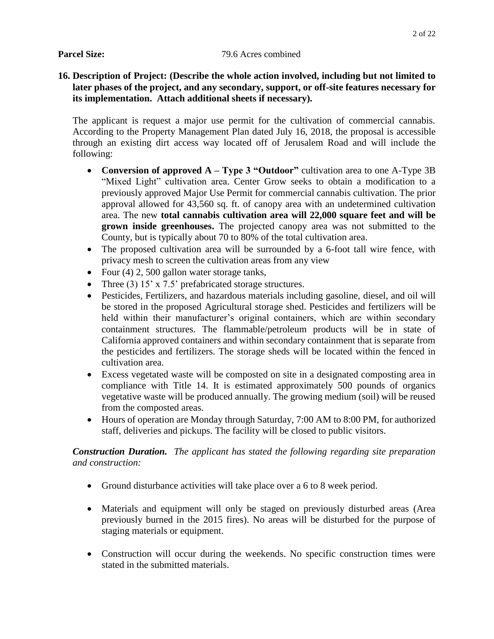#### **Parcel Size:** 79.6 Acres combined

# **16. Description of Project: (Describe the whole action involved, including but not limited to later phases of the project, and any secondary, support, or off-site features necessary for its implementation. Attach additional sheets if necessary).**

The applicant is request a major use permit for the cultivation of commercial cannabis. According to the Property Management Plan dated July 16, 2018, the proposal is accessible through an existing dirt access way located off of Jerusalem Road and will include the following:

- **Conversion of approved A – Type 3 "Outdoor"** cultivation area to one A-Type 3B "Mixed Light" cultivation area. Center Grow seeks to obtain a modification to a previously approved Major Use Permit for commercial cannabis cultivation. The prior approval allowed for 43,560 sq. ft. of canopy area with an undetermined cultivation area. The new **total cannabis cultivation area will 22,000 square feet and will be grown inside greenhouses.** The projected canopy area was not submitted to the County, but is typically about 70 to 80% of the total cultivation area.
- The proposed cultivation area will be surrounded by a 6-foot tall wire fence, with privacy mesh to screen the cultivation areas from any view
- Four  $(4)$  2, 500 gallon water storage tanks,
- Three (3) 15' x 7.5' prefabricated storage structures.
- Pesticides, Fertilizers, and hazardous materials including gasoline, diesel, and oil will be stored in the proposed Agricultural storage shed. Pesticides and fertilizers will be held within their manufacturer's original containers, which are within secondary containment structures. The flammable/petroleum products will be in state of California approved containers and within secondary containment that is separate from the pesticides and fertilizers. The storage sheds will be located within the fenced in cultivation area.
- Excess vegetated waste will be composted on site in a designated composting area in compliance with Title 14. It is estimated approximately 500 pounds of organics vegetative waste will be produced annually. The growing medium (soil) will be reused from the composted areas.
- Hours of operation are Monday through Saturday, 7:00 AM to 8:00 PM, for authorized staff, deliveries and pickups. The facility will be closed to public visitors.

*Construction Duration. The applicant has stated the following regarding site preparation and construction:*

- Ground disturbance activities will take place over a 6 to 8 week period.
- Materials and equipment will only be staged on previously disturbed areas (Area previously burned in the 2015 fires). No areas will be disturbed for the purpose of staging materials or equipment.
- Construction will occur during the weekends. No specific construction times were stated in the submitted materials.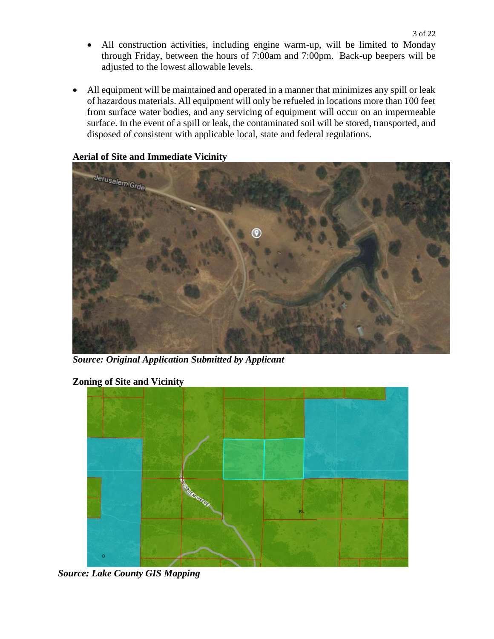- All construction activities, including engine warm-up, will be limited to Monday through Friday, between the hours of 7:00am and 7:00pm. Back-up beepers will be adjusted to the lowest allowable levels.
- All equipment will be maintained and operated in a manner that minimizes any spill or leak of hazardous materials. All equipment will only be refueled in locations more than 100 feet from surface water bodies, and any servicing of equipment will occur on an impermeable surface. In the event of a spill or leak, the contaminated soil will be stored, transported, and disposed of consistent with applicable local, state and federal regulations.

# **Aerial of Site and Immediate Vicinity**



*Source: Original Application Submitted by Applicant*

# **Zoning of Site and Vicinity**



*Source: Lake County GIS Mapping*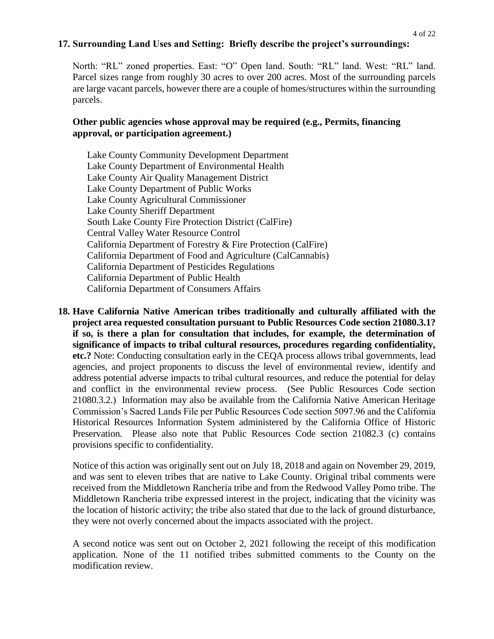# **17. Surrounding Land Uses and Setting: Briefly describe the project's surroundings:**

North: "RL" zoned properties. East: "O" Open land. South: "RL" land. West: "RL" land. Parcel sizes range from roughly 30 acres to over 200 acres. Most of the surrounding parcels are large vacant parcels, however there are a couple of homes/structures within the surrounding parcels.

#### **Other public agencies whose approval may be required (e.g., Permits, financing approval, or participation agreement.)**

Lake County Community Development Department Lake County Department of Environmental Health Lake County Air Quality Management District Lake County Department of Public Works Lake County Agricultural Commissioner Lake County Sheriff Department South Lake County Fire Protection District (CalFire) Central Valley Water Resource Control California Department of Forestry & Fire Protection (CalFire) California Department of Food and Agriculture (CalCannabis) California Department of Pesticides Regulations California Department of Public Health California Department of Consumers Affairs

**18. Have California Native American tribes traditionally and culturally affiliated with the project area requested consultation pursuant to Public Resources Code section 21080.3.1? if so, is there a plan for consultation that includes, for example, the determination of significance of impacts to tribal cultural resources, procedures regarding confidentiality, etc.?** Note: Conducting consultation early in the CEQA process allows tribal governments, lead agencies, and project proponents to discuss the level of environmental review, identify and address potential adverse impacts to tribal cultural resources, and reduce the potential for delay and conflict in the environmental review process. (See Public Resources Code section 21080.3.2.) Information may also be available from the California Native American Heritage Commission's Sacred Lands File per Public Resources Code section 5097.96 and the California Historical Resources Information System administered by the California Office of Historic Preservation. Please also note that Public Resources Code section 21082.3 (c) contains provisions specific to confidentiality.

Notice of this action was originally sent out on July 18, 2018 and again on November 29, 2019, and was sent to eleven tribes that are native to Lake County. Original tribal comments were received from the Middletown Rancheria tribe and from the Redwood Valley Pomo tribe. The Middletown Rancheria tribe expressed interest in the project, indicating that the vicinity was the location of historic activity; the tribe also stated that due to the lack of ground disturbance, they were not overly concerned about the impacts associated with the project.

A second notice was sent out on October 2, 2021 following the receipt of this modification application. None of the 11 notified tribes submitted comments to the County on the modification review.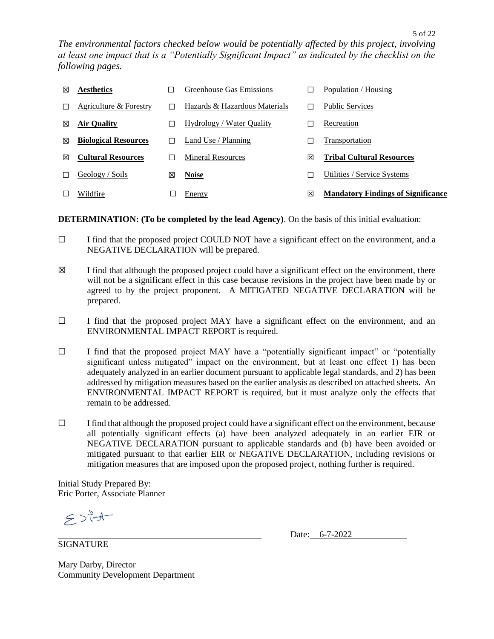| ⊠ | <b>Aesthetics</b>           |   | Greenhouse Gas Emissions      |               | Population / Housing                      |
|---|-----------------------------|---|-------------------------------|---------------|-------------------------------------------|
|   | Agriculture & Forestry      |   | Hazards & Hazardous Materials |               | <b>Public Services</b>                    |
| ⊠ | <b>Air Quality</b>          |   | Hydrology / Water Quality     | $\mathcal{L}$ | Recreation                                |
| ⊠ | <b>Biological Resources</b> |   | Land Use / Planning           |               | Transportation                            |
| ⊠ | <b>Cultural Resources</b>   |   | Mineral Resources             | ⊠             | <b>Tribal Cultural Resources</b>          |
|   | Geology / Soils             | ⊠ | <b>Noise</b>                  |               | Utilities / Service Systems               |
|   | Wildfire                    |   | Energy                        | ⊠             | <b>Mandatory Findings of Significance</b> |

### **DETERMINATION: (To be completed by the lead Agency)**. On the basis of this initial evaluation:

- ☐ I find that the proposed project COULD NOT have a significant effect on the environment, and a NEGATIVE DECLARATION will be prepared.
- $\boxtimes$  I find that although the proposed project could have a significant effect on the environment, there will not be a significant effect in this case because revisions in the project have been made by or agreed to by the project proponent. A MITIGATED NEGATIVE DECLARATION will be prepared.
- ☐ I find that the proposed project MAY have a significant effect on the environment, and an ENVIRONMENTAL IMPACT REPORT is required.
- $\Box$  I find that the proposed project MAY have a "potentially significant impact" or "potentially significant unless mitigated" impact on the environment, but at least one effect 1) has been adequately analyzed in an earlier document pursuant to applicable legal standards, and 2) has been addressed by mitigation measures based on the earlier analysis as described on attached sheets. An ENVIRONMENTAL IMPACT REPORT is required, but it must analyze only the effects that remain to be addressed.
- $\Box$  I find that although the proposed project could have a significant effect on the environment, because all potentially significant effects (a) have been analyzed adequately in an earlier EIR or NEGATIVE DECLARATION pursuant to applicable standards and (b) have been avoided or mitigated pursuant to that earlier EIR or NEGATIVE DECLARATION, including revisions or mitigation measures that are imposed upon the proposed project, nothing further is required.

Initial Study Prepared By: Eric Porter, Associate Planner

 $5$  stat

SIGNATURE

Date: 6-7-2022

5 of 22

Mary Darby, Director Community Development Department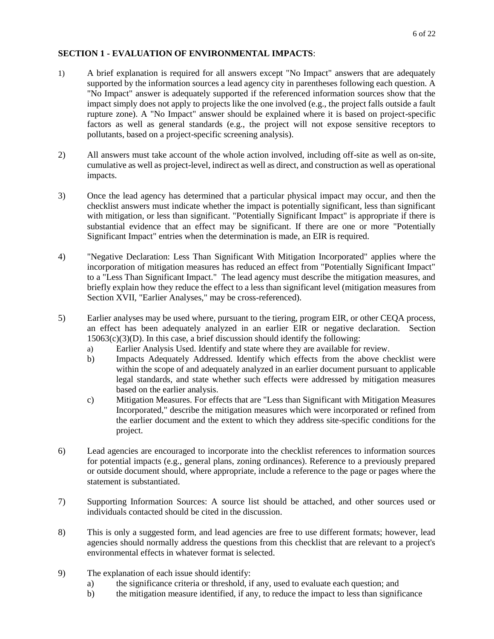#### **SECTION 1 - EVALUATION OF ENVIRONMENTAL IMPACTS**:

- 1) A brief explanation is required for all answers except "No Impact" answers that are adequately supported by the information sources a lead agency city in parentheses following each question. A "No Impact" answer is adequately supported if the referenced information sources show that the impact simply does not apply to projects like the one involved (e.g., the project falls outside a fault rupture zone). A "No Impact" answer should be explained where it is based on project-specific factors as well as general standards (e.g., the project will not expose sensitive receptors to pollutants, based on a project-specific screening analysis).
- 2) All answers must take account of the whole action involved, including off-site as well as on-site, cumulative as well as project-level, indirect as well as direct, and construction as well as operational impacts.
- 3) Once the lead agency has determined that a particular physical impact may occur, and then the checklist answers must indicate whether the impact is potentially significant, less than significant with mitigation, or less than significant. "Potentially Significant Impact" is appropriate if there is substantial evidence that an effect may be significant. If there are one or more "Potentially Significant Impact" entries when the determination is made, an EIR is required.
- 4) "Negative Declaration: Less Than Significant With Mitigation Incorporated" applies where the incorporation of mitigation measures has reduced an effect from "Potentially Significant Impact" to a "Less Than Significant Impact." The lead agency must describe the mitigation measures, and briefly explain how they reduce the effect to a less than significant level (mitigation measures from Section XVII, "Earlier Analyses," may be cross-referenced).
- 5) Earlier analyses may be used where, pursuant to the tiering, program EIR, or other CEQA process, an effect has been adequately analyzed in an earlier EIR or negative declaration. Section  $15063(c)(3)(D)$ . In this case, a brief discussion should identify the following:
	- a) Earlier Analysis Used. Identify and state where they are available for review.
	- b) Impacts Adequately Addressed. Identify which effects from the above checklist were within the scope of and adequately analyzed in an earlier document pursuant to applicable legal standards, and state whether such effects were addressed by mitigation measures based on the earlier analysis.
	- c) Mitigation Measures. For effects that are "Less than Significant with Mitigation Measures Incorporated," describe the mitigation measures which were incorporated or refined from the earlier document and the extent to which they address site-specific conditions for the project.
- 6) Lead agencies are encouraged to incorporate into the checklist references to information sources for potential impacts (e.g., general plans, zoning ordinances). Reference to a previously prepared or outside document should, where appropriate, include a reference to the page or pages where the statement is substantiated.
- 7) Supporting Information Sources: A source list should be attached, and other sources used or individuals contacted should be cited in the discussion.
- 8) This is only a suggested form, and lead agencies are free to use different formats; however, lead agencies should normally address the questions from this checklist that are relevant to a project's environmental effects in whatever format is selected.
- 9) The explanation of each issue should identify:
	- a) the significance criteria or threshold, if any, used to evaluate each question; and
	- b) the mitigation measure identified, if any, to reduce the impact to less than significance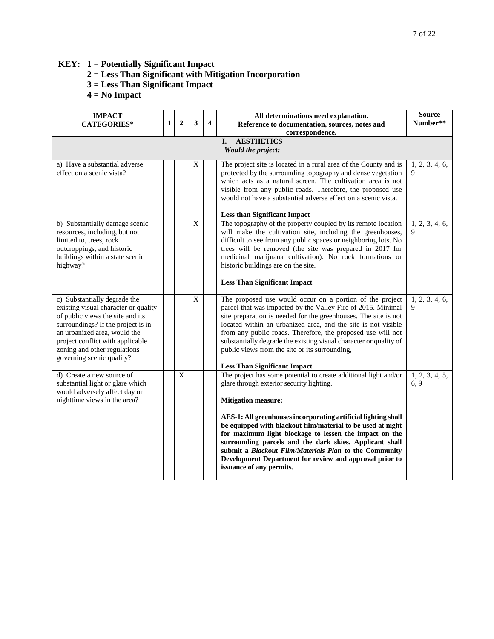# **KEY: 1 = Potentially Significant Impact**

- **2 = Less Than Significant with Mitigation Incorporation**
- **3 = Less Than Significant Impact**
- **4 = No Impact**

| <b>IMPACT</b><br><b>CATEGORIES*</b>                                                                                                                                                                                                                                             | $\mathbf{1}$ | $\overline{2}$ | 3              | $\overline{\mathbf{4}}$ | All determinations need explanation.<br>Reference to documentation, sources, notes and<br>correspondence.                                                                                                                                                                                                                                                                                                                                                                                                                                                 | <b>Source</b><br>Number** |  |  |  |  |  |
|---------------------------------------------------------------------------------------------------------------------------------------------------------------------------------------------------------------------------------------------------------------------------------|--------------|----------------|----------------|-------------------------|-----------------------------------------------------------------------------------------------------------------------------------------------------------------------------------------------------------------------------------------------------------------------------------------------------------------------------------------------------------------------------------------------------------------------------------------------------------------------------------------------------------------------------------------------------------|---------------------------|--|--|--|--|--|
| <b>AESTHETICS</b><br>L.<br>Would the project:                                                                                                                                                                                                                                   |              |                |                |                         |                                                                                                                                                                                                                                                                                                                                                                                                                                                                                                                                                           |                           |  |  |  |  |  |
| a) Have a substantial adverse<br>effect on a scenic vista?                                                                                                                                                                                                                      |              |                | $\mathbf X$    |                         | The project site is located in a rural area of the County and is<br>protected by the surrounding topography and dense vegetation<br>which acts as a natural screen. The cultivation area is not<br>visible from any public roads. Therefore, the proposed use<br>would not have a substantial adverse effect on a scenic vista.<br><b>Less than Significant Impact</b>                                                                                                                                                                                    | 1, 2, 3, 4, 6,<br>9       |  |  |  |  |  |
| b) Substantially damage scenic<br>resources, including, but not<br>limited to, trees, rock<br>outcroppings, and historic<br>buildings within a state scenic<br>highway?                                                                                                         |              |                | $\overline{X}$ |                         | The topography of the property coupled by its remote location<br>will make the cultivation site, including the greenhouses,<br>difficult to see from any public spaces or neighboring lots. No<br>trees will be removed (the site was prepared in 2017 for<br>medicinal marijuana cultivation). No rock formations or<br>historic buildings are on the site.<br><b>Less Than Significant Impact</b>                                                                                                                                                       | 1, 2, 3, 4, 6,<br>9       |  |  |  |  |  |
| c) Substantially degrade the<br>existing visual character or quality<br>of public views the site and its<br>surroundings? If the project is in<br>an urbanized area, would the<br>project conflict with applicable<br>zoning and other regulations<br>governing scenic quality? |              |                | $\mathbf X$    |                         | The proposed use would occur on a portion of the project<br>parcel that was impacted by the Valley Fire of 2015. Minimal<br>site preparation is needed for the greenhouses. The site is not<br>located within an urbanized area, and the site is not visible<br>from any public roads. Therefore, the proposed use will not<br>substantially degrade the existing visual character or quality of<br>public views from the site or its surrounding,<br><b>Less Than Significant Impact</b>                                                                 | 1, 2, 3, 4, 6,<br>9       |  |  |  |  |  |
| d) Create a new source of<br>substantial light or glare which<br>would adversely affect day or<br>nighttime views in the area?                                                                                                                                                  |              | $\mathbf X$    |                |                         | The project has some potential to create additional light and/or<br>glare through exterior security lighting.<br><b>Mitigation measure:</b><br>AES-1: All greenhouses incorporating artificial lighting shall<br>be equipped with blackout film/material to be used at night<br>for maximum light blockage to lessen the impact on the<br>surrounding parcels and the dark skies. Applicant shall<br>submit a <b>Blackout Film/Materials Plan</b> to the Community<br>Development Department for review and approval prior to<br>issuance of any permits. | 1, 2, 3, 4, 5,<br>6, 9    |  |  |  |  |  |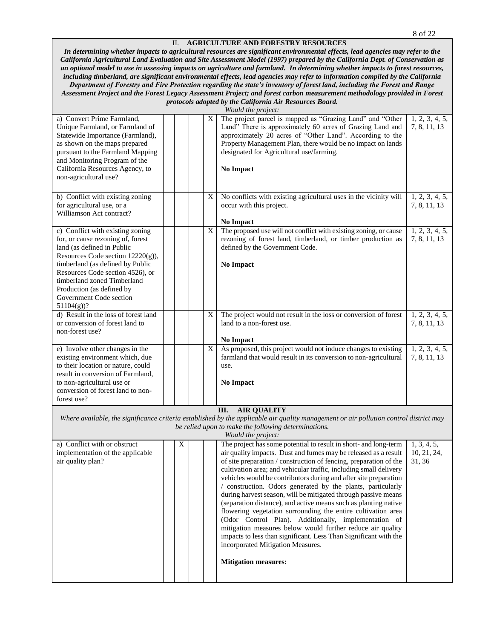#### II. **AGRICULTURE AND FORESTRY RESOURCES**

*In determining whether impacts to agricultural resources are significant environmental effects, lead agencies may refer to the California Agricultural Land Evaluation and Site Assessment Model (1997) prepared by the California Dept. of Conservation as an optional model to use in assessing impacts on agriculture and farmland.**In determining whether impacts to forest resources, including timberland, are significant environmental effects, lead agencies may refer to information compiled by the California Department of Forestry and Fire Protection regarding the state's inventory of forest land, including the Forest and Range Assessment Project and the Forest Legacy Assessment Project; and forest carbon measurement methodology provided in Forest* 

#### *protocols adopted by the California Air Resources Board.*

*Would the project:*

| a) Convert Prime Farmland,<br>Unique Farmland, or Farmland of<br>Statewide Importance (Farmland),<br>as shown on the maps prepared<br>pursuant to the Farmland Mapping<br>and Monitoring Program of the<br>California Resources Agency, to<br>non-agricultural use?                                                     |             | X           | The project parcel is mapped as "Grazing Land" and "Other<br>Land" There is approximately 60 acres of Grazing Land and<br>approximately 20 acres of "Other Land". According to the<br>Property Management Plan, there would be no impact on lands<br>designated for Agricultural use/farming.<br>No Impact                                                                                                                                                                                                                                                                                                                                                                                                                                                                                                                                                                          | 1, 2, 3, 4, 5,<br>7, 8, 11, 13       |
|-------------------------------------------------------------------------------------------------------------------------------------------------------------------------------------------------------------------------------------------------------------------------------------------------------------------------|-------------|-------------|-------------------------------------------------------------------------------------------------------------------------------------------------------------------------------------------------------------------------------------------------------------------------------------------------------------------------------------------------------------------------------------------------------------------------------------------------------------------------------------------------------------------------------------------------------------------------------------------------------------------------------------------------------------------------------------------------------------------------------------------------------------------------------------------------------------------------------------------------------------------------------------|--------------------------------------|
| b) Conflict with existing zoning<br>for agricultural use, or a<br>Williamson Act contract?                                                                                                                                                                                                                              |             | X           | No conflicts with existing agricultural uses in the vicinity will<br>occur with this project.<br><b>No Impact</b>                                                                                                                                                                                                                                                                                                                                                                                                                                                                                                                                                                                                                                                                                                                                                                   | 1, 2, 3, 4, 5,<br>7, 8, 11, 13       |
| c) Conflict with existing zoning<br>for, or cause rezoning of, forest<br>land (as defined in Public<br>Resources Code section 12220(g)),<br>timberland (as defined by Public<br>Resources Code section 4526), or<br>timberland zoned Timberland<br>Production (as defined by<br>Government Code section<br>$51104(g)$ ? |             | $\mathbf X$ | The proposed use will not conflict with existing zoning, or cause<br>rezoning of forest land, timberland, or timber production as<br>defined by the Government Code.<br>No Impact                                                                                                                                                                                                                                                                                                                                                                                                                                                                                                                                                                                                                                                                                                   | 1, 2, 3, 4, 5,<br>7, 8, 11, 13       |
| d) Result in the loss of forest land<br>or conversion of forest land to<br>non-forest use?                                                                                                                                                                                                                              |             | X           | The project would not result in the loss or conversion of forest<br>land to a non-forest use.<br>No Impact                                                                                                                                                                                                                                                                                                                                                                                                                                                                                                                                                                                                                                                                                                                                                                          | 1, 2, 3, 4, 5,<br>7, 8, 11, 13       |
| e) Involve other changes in the<br>existing environment which, due<br>to their location or nature, could<br>result in conversion of Farmland,<br>to non-agricultural use or<br>conversion of forest land to non-<br>forest use?                                                                                         |             | X           | As proposed, this project would not induce changes to existing<br>farmland that would result in its conversion to non-agricultural<br>use.<br>No Impact                                                                                                                                                                                                                                                                                                                                                                                                                                                                                                                                                                                                                                                                                                                             | 1, 2, 3, 4, 5,<br>7, 8, 11, 13       |
|                                                                                                                                                                                                                                                                                                                         |             |             | III.<br><b>AIR QUALITY</b><br>Where available, the significance criteria established by the applicable air quality management or air pollution control district may<br>be relied upon to make the following determinations.<br>Would the project:                                                                                                                                                                                                                                                                                                                                                                                                                                                                                                                                                                                                                                   |                                      |
| a) Conflict with or obstruct<br>implementation of the applicable<br>air quality plan?                                                                                                                                                                                                                                   | $\mathbf X$ |             | The project has some potential to result in short- and long-term<br>air quality impacts. Dust and fumes may be released as a result<br>of site preparation / construction of fencing, preparation of the<br>cultivation area; and vehicular traffic, including small delivery<br>vehicles would be contributors during and after site preparation<br>/ construction. Odors generated by the plants, particularly<br>during harvest season, will be mitigated through passive means<br>(separation distance), and active means such as planting native<br>flowering vegetation surrounding the entire cultivation area<br>(Odor Control Plan). Additionally, implementation of<br>mitigation measures below would further reduce air quality<br>impacts to less than significant. Less Than Significant with the<br>incorporated Mitigation Measures.<br><b>Mitigation measures:</b> | 1, 3, 4, 5,<br>10, 21, 24,<br>31, 36 |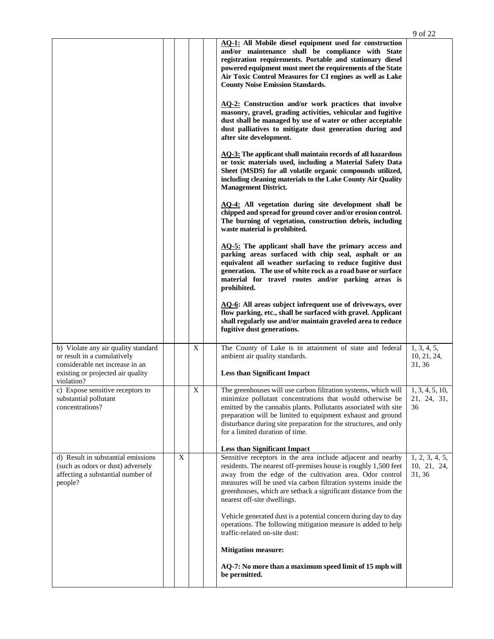|                                                                                                                                                          |   |                         |                                                                                                                                                                                                                                                                                                                                                                      | 9 of 22                              |
|----------------------------------------------------------------------------------------------------------------------------------------------------------|---|-------------------------|----------------------------------------------------------------------------------------------------------------------------------------------------------------------------------------------------------------------------------------------------------------------------------------------------------------------------------------------------------------------|--------------------------------------|
|                                                                                                                                                          |   |                         | AQ-1: All Mobile diesel equipment used for construction<br>and/or maintenance shall be compliance with State<br>registration requirements. Portable and stationary diesel<br>powered equipment must meet the requirements of the State<br>Air Toxic Control Measures for CI engines as well as Lake<br><b>County Noise Emission Standards.</b>                       |                                      |
|                                                                                                                                                          |   |                         | <b>AQ-2:</b> Construction and/or work practices that involve<br>masonry, gravel, grading activities, vehicular and fugitive<br>dust shall be managed by use of water or other acceptable<br>dust palliatives to mitigate dust generation during and<br>after site development.                                                                                       |                                      |
|                                                                                                                                                          |   |                         | <b>AQ-3:</b> The applicant shall maintain records of all hazardous<br>or toxic materials used, including a Material Safety Data<br>Sheet (MSDS) for all volatile organic compounds utilized,<br>including cleaning materials to the Lake County Air Quality<br><b>Management District.</b>                                                                           |                                      |
|                                                                                                                                                          |   |                         | AQ-4: All vegetation during site development shall be<br>chipped and spread for ground cover and/or erosion control.<br>The burning of vegetation, construction debris, including<br>waste material is prohibited.                                                                                                                                                   |                                      |
|                                                                                                                                                          |   |                         | AQ-5: The applicant shall have the primary access and<br>parking areas surfaced with chip seal, asphalt or an<br>equivalent all weather surfacing to reduce fugitive dust<br>generation. The use of white rock as a road base or surface<br>material for travel routes and/or parking areas is<br>prohibited.                                                        |                                      |
|                                                                                                                                                          |   |                         | <b>AQ-6:</b> All areas subject infrequent use of driveways, over<br>flow parking, etc., shall be surfaced with gravel. Applicant<br>shall regularly use and/or maintain graveled area to reduce<br>fugitive dust generations.                                                                                                                                        |                                      |
| b) Violate any air quality standard<br>or result in a cumulatively<br>considerable net increase in an<br>existing or projected air quality<br>violation? |   | $\mathbf X$             | The County of Lake is in attainment of state and federal<br>ambient air quality standards.<br><b>Less than Significant Impact</b>                                                                                                                                                                                                                                    | 1, 3, 4, 5,<br>10, 21, 24,<br>31, 36 |
| c) Expose sensitive receptors to<br>substantial pollutant<br>concentrations?                                                                             |   | $\overline{\mathbf{X}}$ | The greenhouses will use carbon filtration systems, which will<br>minimize pollutant concentrations that would otherwise be<br>emitted by the cannabis plants. Pollutants associated with site<br>preparation will be limited to equipment exhaust and ground<br>disturbance during site preparation for the structures, and only<br>for a limited duration of time. | 1, 3, 4, 5, 10,<br>21, 24, 31,<br>36 |
| d) Result in substantial emissions                                                                                                                       | X |                         | <b>Less than Significant Impact</b><br>Sensitive receptors in the area include adjacent and nearby                                                                                                                                                                                                                                                                   | 1, 2, 3, 4, 5,                       |
| (such as odors or dust) adversely<br>affecting a substantial number of<br>people?                                                                        |   |                         | residents. The nearest off-premises house is roughly 1,500 feet<br>away from the edge of the cultivation area. Odor control<br>measures will be used via carbon filtration systems inside the<br>greenhouses, which are setback a significant distance from the<br>nearest off-site dwellings.                                                                       | 10, 21, 24,<br>31, 36                |
|                                                                                                                                                          |   |                         | Vehicle generated dust is a potential concern during day to day<br>operations. The following mitigation measure is added to help<br>traffic-related on-site dust:                                                                                                                                                                                                    |                                      |
|                                                                                                                                                          |   |                         | <b>Mitigation measure:</b>                                                                                                                                                                                                                                                                                                                                           |                                      |
|                                                                                                                                                          |   |                         | AQ-7: No more than a maximum speed limit of 15 mph will<br>be permitted.                                                                                                                                                                                                                                                                                             |                                      |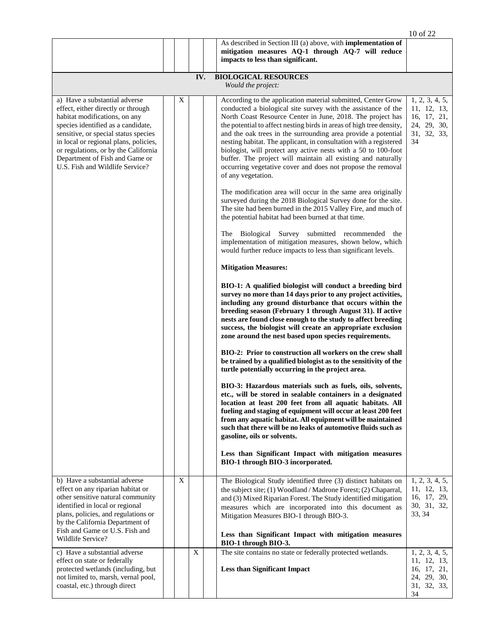|                                                                                                                                                                                                                                                                                                                                          |   |     |                                                                                                                                                                                                                                                                                                                                                                                                                                                                                                                                                                                                                                                                                                                                                                                                                                                                                                                                                                                                                                                                                                                                                                                                                                                                                                                                                                                                                                                                                                                                                        | 10 of 22                                                                         |
|------------------------------------------------------------------------------------------------------------------------------------------------------------------------------------------------------------------------------------------------------------------------------------------------------------------------------------------|---|-----|--------------------------------------------------------------------------------------------------------------------------------------------------------------------------------------------------------------------------------------------------------------------------------------------------------------------------------------------------------------------------------------------------------------------------------------------------------------------------------------------------------------------------------------------------------------------------------------------------------------------------------------------------------------------------------------------------------------------------------------------------------------------------------------------------------------------------------------------------------------------------------------------------------------------------------------------------------------------------------------------------------------------------------------------------------------------------------------------------------------------------------------------------------------------------------------------------------------------------------------------------------------------------------------------------------------------------------------------------------------------------------------------------------------------------------------------------------------------------------------------------------------------------------------------------------|----------------------------------------------------------------------------------|
|                                                                                                                                                                                                                                                                                                                                          |   |     | As described in Section III (a) above, with <b>implementation of</b>                                                                                                                                                                                                                                                                                                                                                                                                                                                                                                                                                                                                                                                                                                                                                                                                                                                                                                                                                                                                                                                                                                                                                                                                                                                                                                                                                                                                                                                                                   |                                                                                  |
|                                                                                                                                                                                                                                                                                                                                          |   |     | mitigation measures AQ-1 through AQ-7 will reduce<br>impacts to less than significant.                                                                                                                                                                                                                                                                                                                                                                                                                                                                                                                                                                                                                                                                                                                                                                                                                                                                                                                                                                                                                                                                                                                                                                                                                                                                                                                                                                                                                                                                 |                                                                                  |
|                                                                                                                                                                                                                                                                                                                                          |   | IV. | <b>BIOLOGICAL RESOURCES</b><br>Would the project:                                                                                                                                                                                                                                                                                                                                                                                                                                                                                                                                                                                                                                                                                                                                                                                                                                                                                                                                                                                                                                                                                                                                                                                                                                                                                                                                                                                                                                                                                                      |                                                                                  |
| a) Have a substantial adverse<br>effect, either directly or through<br>habitat modifications, on any<br>species identified as a candidate,<br>sensitive, or special status species<br>in local or regional plans, policies,<br>or regulations, or by the California<br>Department of Fish and Game or<br>U.S. Fish and Wildlife Service? | X |     | According to the application material submitted, Center Grow<br>conducted a biological site survey with the assistance of the<br>North Coast Resource Center in June, 2018. The project has<br>the potential to affect nesting birds in areas of high tree density,<br>and the oak trees in the surrounding area provide a potential<br>nesting habitat. The applicant, in consultation with a registered<br>biologist, will protect any active nests with a 50 to 100-foot<br>buffer. The project will maintain all existing and naturally<br>occurring vegetative cover and does not propose the removal<br>of any vegetation.<br>The modification area will occur in the same area originally<br>surveyed during the 2018 Biological Survey done for the site.<br>The site had been burned in the 2015 Valley Fire, and much of<br>the potential habitat had been burned at that time.<br>The Biological Survey submitted recommended the<br>implementation of mitigation measures, shown below, which<br>would further reduce impacts to less than significant levels.<br><b>Mitigation Measures:</b><br>BIO-1: A qualified biologist will conduct a breeding bird<br>survey no more than 14 days prior to any project activities,<br>including any ground disturbance that occurs within the<br>breeding season (February 1 through August 31). If active<br>nests are found close enough to the study to affect breeding<br>success, the biologist will create an appropriate exclusion<br>zone around the nest based upon species requirements. | 1, 2, 3, 4, 5,<br>11, 12, 13,<br>16, 17, 21,<br>24, 29, 30,<br>31, 32, 33,<br>34 |
|                                                                                                                                                                                                                                                                                                                                          |   |     | BIO-2: Prior to construction all workers on the crew shall<br>be trained by a qualified biologist as to the sensitivity of the<br>turtle potentially occurring in the project area.<br>BIO-3: Hazardous materials such as fuels, oils, solvents,<br>etc., will be stored in sealable containers in a designated<br>location at least 200 feet from all aquatic habitats. All<br>fueling and staging of equipment will occur at least 200 feet<br>from any aquatic habitat. All equipment will be maintained<br>such that there will be no leaks of automotive fluids such as<br>gasoline, oils or solvents.                                                                                                                                                                                                                                                                                                                                                                                                                                                                                                                                                                                                                                                                                                                                                                                                                                                                                                                                            |                                                                                  |
|                                                                                                                                                                                                                                                                                                                                          |   |     | Less than Significant Impact with mitigation measures<br>BIO-1 through BIO-3 incorporated.                                                                                                                                                                                                                                                                                                                                                                                                                                                                                                                                                                                                                                                                                                                                                                                                                                                                                                                                                                                                                                                                                                                                                                                                                                                                                                                                                                                                                                                             |                                                                                  |
| b) Have a substantial adverse<br>effect on any riparian habitat or<br>other sensitive natural community<br>identified in local or regional<br>plans, policies, and regulations or<br>by the California Department of<br>Fish and Game or U.S. Fish and<br>Wildlife Service?                                                              | X |     | The Biological Study identified three (3) distinct habitats on<br>the subject site; (1) Woodland / Madrone Forest; (2) Chaparral,<br>and (3) Mixed Riparian Forest. The Study identified mitigation<br>measures which are incorporated into this document as<br>Mitigation Measures BIO-1 through BIO-3.<br>Less than Significant Impact with mitigation measures                                                                                                                                                                                                                                                                                                                                                                                                                                                                                                                                                                                                                                                                                                                                                                                                                                                                                                                                                                                                                                                                                                                                                                                      | 1, 2, 3, 4, 5,<br>11, 12, 13,<br>16, 17, 29,<br>30, 31, 32,<br>33, 34            |
| c) Have a substantial adverse                                                                                                                                                                                                                                                                                                            |   | X   | BIO-1 through BIO-3.<br>The site contains no state or federally protected wetlands.                                                                                                                                                                                                                                                                                                                                                                                                                                                                                                                                                                                                                                                                                                                                                                                                                                                                                                                                                                                                                                                                                                                                                                                                                                                                                                                                                                                                                                                                    | 1, 2, 3, 4, 5,                                                                   |
| effect on state or federally<br>protected wetlands (including, but<br>not limited to, marsh, vernal pool,<br>coastal, etc.) through direct                                                                                                                                                                                               |   |     | <b>Less than Significant Impact</b>                                                                                                                                                                                                                                                                                                                                                                                                                                                                                                                                                                                                                                                                                                                                                                                                                                                                                                                                                                                                                                                                                                                                                                                                                                                                                                                                                                                                                                                                                                                    | 11, 12, 13,<br>16, 17, 21,<br>24, 29, 30,<br>31, 32, 33,<br>34                   |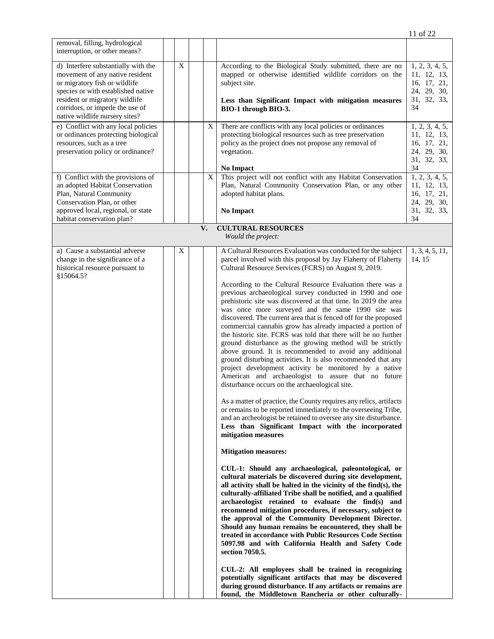| removal, filling, hydrological<br>interruption, or other means?                                                                                                                                                                                      |   |    |                                                                                                                                                                                                                                                                                                                                                                                                                                                                                                                                                                                                                                                                                                                                                                                                                                                                                                                                                                                                                                                                                                                                                                                                                                                                                                                                                                                                                                                                                                                                                                                                                                                                                                                                                                                                                                                                                                                                                      |                                                                                  |
|------------------------------------------------------------------------------------------------------------------------------------------------------------------------------------------------------------------------------------------------------|---|----|------------------------------------------------------------------------------------------------------------------------------------------------------------------------------------------------------------------------------------------------------------------------------------------------------------------------------------------------------------------------------------------------------------------------------------------------------------------------------------------------------------------------------------------------------------------------------------------------------------------------------------------------------------------------------------------------------------------------------------------------------------------------------------------------------------------------------------------------------------------------------------------------------------------------------------------------------------------------------------------------------------------------------------------------------------------------------------------------------------------------------------------------------------------------------------------------------------------------------------------------------------------------------------------------------------------------------------------------------------------------------------------------------------------------------------------------------------------------------------------------------------------------------------------------------------------------------------------------------------------------------------------------------------------------------------------------------------------------------------------------------------------------------------------------------------------------------------------------------------------------------------------------------------------------------------------------------|----------------------------------------------------------------------------------|
| d) Interfere substantially with the<br>movement of any native resident<br>or migratory fish or wildlife<br>species or with established native<br>resident or migratory wildlife<br>corridors, or impede the use of<br>native wildlife nursery sites? | X |    | According to the Biological Study submitted, there are no<br>mapped or otherwise identified wildlife corridors on the<br>subject site.<br>Less than Significant Impact with mitigation measures<br>BIO-1 through BIO-3.                                                                                                                                                                                                                                                                                                                                                                                                                                                                                                                                                                                                                                                                                                                                                                                                                                                                                                                                                                                                                                                                                                                                                                                                                                                                                                                                                                                                                                                                                                                                                                                                                                                                                                                              | 1, 2, 3, 4, 5,<br>11, 12, 13,<br>16, 17, 21,<br>24, 29, 30,<br>31, 32, 33,<br>34 |
| e) Conflict with any local policies<br>or ordinances protecting biological<br>resources, such as a tree<br>preservation policy or ordinance?                                                                                                         |   | X  | There are conflicts with any local policies or ordinances<br>protecting biological resources such as tree preservation<br>policy as the project does not propose any removal of<br>vegetation.<br><b>No Impact</b>                                                                                                                                                                                                                                                                                                                                                                                                                                                                                                                                                                                                                                                                                                                                                                                                                                                                                                                                                                                                                                                                                                                                                                                                                                                                                                                                                                                                                                                                                                                                                                                                                                                                                                                                   | 1, 2, 3, 4, 5,<br>11, 12, 13,<br>16, 17, 21,<br>24, 29, 30,<br>31, 32, 33,<br>34 |
| f) Conflict with the provisions of<br>an adopted Habitat Conservation<br>Plan, Natural Community<br>Conservation Plan, or other<br>approved local, regional, or state<br>habitat conservation plan?                                                  |   | X  | This project will not conflict with any Habitat Conservation<br>Plan, Natural Community Conservation Plan, or any other<br>adopted habitat plans.<br><b>No Impact</b>                                                                                                                                                                                                                                                                                                                                                                                                                                                                                                                                                                                                                                                                                                                                                                                                                                                                                                                                                                                                                                                                                                                                                                                                                                                                                                                                                                                                                                                                                                                                                                                                                                                                                                                                                                                | 1, 2, 3, 4, 5,<br>11, 12, 13,<br>16, 17, 21,<br>24, 29, 30,<br>31, 32, 33,<br>34 |
|                                                                                                                                                                                                                                                      |   | V. | <b>CULTURAL RESOURCES</b><br>Would the project:                                                                                                                                                                                                                                                                                                                                                                                                                                                                                                                                                                                                                                                                                                                                                                                                                                                                                                                                                                                                                                                                                                                                                                                                                                                                                                                                                                                                                                                                                                                                                                                                                                                                                                                                                                                                                                                                                                      |                                                                                  |
| a) Cause a substantial adverse<br>change in the significance of a<br>historical resource pursuant to<br>\$15064.5?                                                                                                                                   | X |    | A Cultural Resources Evaluation was conducted for the subject<br>parcel involved with this proposal by Jay Flaherty of Flaherty<br>Cultural Resource Services (FCRS) on August 9, 2019.<br>According to the Cultural Resource Evaluation there was a<br>previous archaeological survey conducted in 1990 and one<br>prehistoric site was discovered at that time. In 2019 the area<br>was once more surveyed and the same 1990 site was<br>discovered. The current area that is fenced off for the proposed<br>commercial cannabis grow has already impacted a portion of<br>the historic site. FCRS was told that there will be no further<br>ground disturbance as the growing method will be strictly<br>above ground. It is recommended to avoid any additional<br>ground disturbing activities. It is also recommended that any<br>project development activity be monitored by a native<br>American and archaeologist to assure that no future<br>disturbance occurs on the archaeological site.<br>As a matter of practice, the County requires any relics, artifacts<br>or remains to be reported immediately to the overseeing Tribe,<br>and an archeologist be retained to oversee any site disturbance.<br>Less than Significant Impact with the incorporated<br>mitigation measures<br><b>Mitigation measures:</b><br>CUL-1: Should any archaeological, paleontological, or<br>cultural materials be discovered during site development,<br>all activity shall be halted in the vicinity of the find $(s)$ , the<br>culturally-affiliated Tribe shall be notified, and a qualified<br>archaeologist retained to evaluate the find(s) and<br>recommend mitigation procedures, if necessary, subject to<br>the approval of the Community Development Director.<br>Should any human remains be encountered, they shall be<br>treated in accordance with Public Resources Code Section<br>5097.98 and with California Health and Safety Code | 1, 3, 4, 5, 11,<br>14, 15                                                        |
|                                                                                                                                                                                                                                                      |   |    | section 7050.5.<br>CUL-2: All employees shall be trained in recognizing<br>potentially significant artifacts that may be discovered<br>during ground disturbance. If any artifacts or remains are<br>found, the Middletown Rancheria or other culturally-                                                                                                                                                                                                                                                                                                                                                                                                                                                                                                                                                                                                                                                                                                                                                                                                                                                                                                                                                                                                                                                                                                                                                                                                                                                                                                                                                                                                                                                                                                                                                                                                                                                                                            |                                                                                  |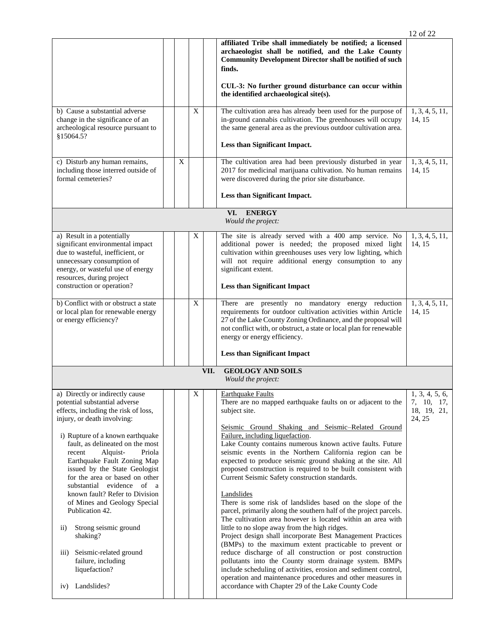|                                                                                                                                                                                                                                                                                                                                                                                                                                                                                                                                                                                                                                           |   |   |      |                                                                                                                                                                                                                                                                                                                                                                                                                                                                                                                                                                                                                                                                                                                                                                                                                                                                                                                                                                                                                                                                                                                                                                                                                    | 12 of 22                                              |
|-------------------------------------------------------------------------------------------------------------------------------------------------------------------------------------------------------------------------------------------------------------------------------------------------------------------------------------------------------------------------------------------------------------------------------------------------------------------------------------------------------------------------------------------------------------------------------------------------------------------------------------------|---|---|------|--------------------------------------------------------------------------------------------------------------------------------------------------------------------------------------------------------------------------------------------------------------------------------------------------------------------------------------------------------------------------------------------------------------------------------------------------------------------------------------------------------------------------------------------------------------------------------------------------------------------------------------------------------------------------------------------------------------------------------------------------------------------------------------------------------------------------------------------------------------------------------------------------------------------------------------------------------------------------------------------------------------------------------------------------------------------------------------------------------------------------------------------------------------------------------------------------------------------|-------------------------------------------------------|
|                                                                                                                                                                                                                                                                                                                                                                                                                                                                                                                                                                                                                                           |   |   |      | affiliated Tribe shall immediately be notified; a licensed<br>archaeologist shall be notified, and the Lake County<br><b>Community Development Director shall be notified of such</b><br>finds.                                                                                                                                                                                                                                                                                                                                                                                                                                                                                                                                                                                                                                                                                                                                                                                                                                                                                                                                                                                                                    |                                                       |
|                                                                                                                                                                                                                                                                                                                                                                                                                                                                                                                                                                                                                                           |   |   |      | CUL-3: No further ground disturbance can occur within<br>the identified archaeological site(s).                                                                                                                                                                                                                                                                                                                                                                                                                                                                                                                                                                                                                                                                                                                                                                                                                                                                                                                                                                                                                                                                                                                    |                                                       |
| b) Cause a substantial adverse<br>change in the significance of an<br>archeological resource pursuant to<br>§15064.5?                                                                                                                                                                                                                                                                                                                                                                                                                                                                                                                     |   | X |      | The cultivation area has already been used for the purpose of<br>in-ground cannabis cultivation. The greenhouses will occupy<br>the same general area as the previous outdoor cultivation area.<br>Less than Significant Impact.                                                                                                                                                                                                                                                                                                                                                                                                                                                                                                                                                                                                                                                                                                                                                                                                                                                                                                                                                                                   | 1, 3, 4, 5, 11,<br>14, 15                             |
| c) Disturb any human remains,<br>including those interred outside of<br>formal cemeteries?                                                                                                                                                                                                                                                                                                                                                                                                                                                                                                                                                | X |   |      | The cultivation area had been previously disturbed in year<br>2017 for medicinal marijuana cultivation. No human remains<br>were discovered during the prior site disturbance.<br>Less than Significant Impact.                                                                                                                                                                                                                                                                                                                                                                                                                                                                                                                                                                                                                                                                                                                                                                                                                                                                                                                                                                                                    | 1, 3, 4, 5, 11,<br>14, 15                             |
|                                                                                                                                                                                                                                                                                                                                                                                                                                                                                                                                                                                                                                           |   |   |      | <b>ENERGY</b><br>VI.<br>Would the project:                                                                                                                                                                                                                                                                                                                                                                                                                                                                                                                                                                                                                                                                                                                                                                                                                                                                                                                                                                                                                                                                                                                                                                         |                                                       |
| a) Result in a potentially<br>significant environmental impact<br>due to wasteful, inefficient, or<br>unnecessary consumption of<br>energy, or wasteful use of energy<br>resources, during project<br>construction or operation?                                                                                                                                                                                                                                                                                                                                                                                                          |   | X |      | The site is already served with a 400 amp service. No<br>additional power is needed; the proposed mixed light<br>cultivation within greenhouses uses very low lighting, which<br>will not require additional energy consumption to any<br>significant extent.<br><b>Less than Significant Impact</b>                                                                                                                                                                                                                                                                                                                                                                                                                                                                                                                                                                                                                                                                                                                                                                                                                                                                                                               | 1, 3, 4, 5, 11,<br>14, 15                             |
| b) Conflict with or obstruct a state<br>or local plan for renewable energy<br>or energy efficiency?                                                                                                                                                                                                                                                                                                                                                                                                                                                                                                                                       |   | X |      | There are presently no mandatory energy reduction<br>requirements for outdoor cultivation activities within Article<br>27 of the Lake County Zoning Ordinance, and the proposal will<br>not conflict with, or obstruct, a state or local plan for renewable<br>energy or energy efficiency.                                                                                                                                                                                                                                                                                                                                                                                                                                                                                                                                                                                                                                                                                                                                                                                                                                                                                                                        | 1, 3, 4, 5, 11,<br>14, 15                             |
|                                                                                                                                                                                                                                                                                                                                                                                                                                                                                                                                                                                                                                           |   |   |      | <b>Less than Significant Impact</b>                                                                                                                                                                                                                                                                                                                                                                                                                                                                                                                                                                                                                                                                                                                                                                                                                                                                                                                                                                                                                                                                                                                                                                                |                                                       |
|                                                                                                                                                                                                                                                                                                                                                                                                                                                                                                                                                                                                                                           |   |   | VII. | <b>GEOLOGY AND SOILS</b><br>Would the project:                                                                                                                                                                                                                                                                                                                                                                                                                                                                                                                                                                                                                                                                                                                                                                                                                                                                                                                                                                                                                                                                                                                                                                     |                                                       |
| a) Directly or indirectly cause<br>potential substantial adverse<br>effects, including the risk of loss,<br>injury, or death involving:<br>i) Rupture of a known earthquake<br>fault, as delineated on the most<br>Alquist-<br>Priola<br>recent<br>Earthquake Fault Zoning Map<br>issued by the State Geologist<br>for the area or based on other<br>substantial evidence of a<br>known fault? Refer to Division<br>of Mines and Geology Special<br>Publication 42.<br>Strong seismic ground<br>$\overline{11})$<br>shaking?<br>Seismic-related ground<br>$\overline{111}$ )<br>failure, including<br>liquefaction?<br>Landslides?<br>1V) |   | X |      | <b>Earthquake Faults</b><br>There are no mapped earthquake faults on or adjacent to the<br>subject site.<br>Seismic Ground Shaking and Seismic-Related Ground<br>Failure, including liquefaction.<br>Lake County contains numerous known active faults. Future<br>seismic events in the Northern California region can be<br>expected to produce seismic ground shaking at the site. All<br>proposed construction is required to be built consistent with<br>Current Seismic Safety construction standards.<br>Landslides<br>There is some risk of landslides based on the slope of the<br>parcel, primarily along the southern half of the project parcels.<br>The cultivation area however is located within an area with<br>little to no slope away from the high ridges.<br>Project design shall incorporate Best Management Practices<br>(BMPs) to the maximum extent practicable to prevent or<br>reduce discharge of all construction or post construction<br>pollutants into the County storm drainage system. BMPs<br>include scheduling of activities, erosion and sediment control,<br>operation and maintenance procedures and other measures in<br>accordance with Chapter 29 of the Lake County Code | 1, 3, 4, 5, 6,<br>7, 10, 17,<br>18, 19, 21,<br>24, 25 |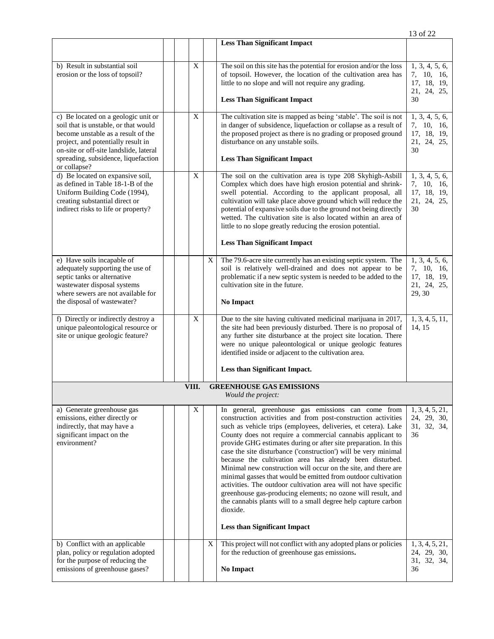|                                                                                                                                                                                                                                                          |  |       |   |                                                                                                                                                                                                                                                                                                                                                                                                                                                                                                                                                                                                                                                                                                                                                                                                                                                  | 13 of 22                                                             |
|----------------------------------------------------------------------------------------------------------------------------------------------------------------------------------------------------------------------------------------------------------|--|-------|---|--------------------------------------------------------------------------------------------------------------------------------------------------------------------------------------------------------------------------------------------------------------------------------------------------------------------------------------------------------------------------------------------------------------------------------------------------------------------------------------------------------------------------------------------------------------------------------------------------------------------------------------------------------------------------------------------------------------------------------------------------------------------------------------------------------------------------------------------------|----------------------------------------------------------------------|
|                                                                                                                                                                                                                                                          |  |       |   | <b>Less Than Significant Impact</b>                                                                                                                                                                                                                                                                                                                                                                                                                                                                                                                                                                                                                                                                                                                                                                                                              |                                                                      |
| b) Result in substantial soil<br>erosion or the loss of topsoil?                                                                                                                                                                                         |  | X     |   | The soil on this site has the potential for erosion and/or the loss<br>of topsoil. However, the location of the cultivation area has<br>little to no slope and will not require any grading.<br><b>Less Than Significant Impact</b>                                                                                                                                                                                                                                                                                                                                                                                                                                                                                                                                                                                                              | 1, 3, 4, 5, 6,<br>7, 10, 16,<br>17, 18, 19,<br>21, 24, 25,<br>30     |
| c) Be located on a geologic unit or<br>soil that is unstable, or that would<br>become unstable as a result of the<br>project, and potentially result in<br>on-site or off-site landslide, lateral<br>spreading, subsidence, liquefaction<br>or collapse? |  | X     |   | The cultivation site is mapped as being 'stable'. The soil is not<br>in danger of subsidence, liquefaction or collapse as a result of<br>the proposed project as there is no grading or proposed ground<br>disturbance on any unstable soils.<br><b>Less Than Significant Impact</b>                                                                                                                                                                                                                                                                                                                                                                                                                                                                                                                                                             | 1, 3, 4, 5, 6,<br>7, 10, 16,<br>17, 18, 19,<br>21, 24, 25,<br>30     |
| d) Be located on expansive soil,<br>as defined in Table 18-1-B of the<br>Uniform Building Code (1994),<br>creating substantial direct or<br>indirect risks to life or property?                                                                          |  | X     |   | The soil on the cultivation area is type 208 Skyhigh-Asbill<br>Complex which does have high erosion potential and shrink-<br>swell potential. According to the applicant proposal, all<br>cultivation will take place above ground which will reduce the<br>potential of expansive soils due to the ground not being directly<br>wetted. The cultivation site is also located within an area of<br>little to no slope greatly reducing the erosion potential.                                                                                                                                                                                                                                                                                                                                                                                    | 1, 3, 4, 5, 6,<br>7, 10, 16,<br>17, 18, 19,<br>21, 24, 25,<br>30     |
|                                                                                                                                                                                                                                                          |  |       |   | <b>Less Than Significant Impact</b>                                                                                                                                                                                                                                                                                                                                                                                                                                                                                                                                                                                                                                                                                                                                                                                                              |                                                                      |
| e) Have soils incapable of<br>adequately supporting the use of<br>septic tanks or alternative<br>wastewater disposal systems<br>where sewers are not available for<br>the disposal of wastewater?                                                        |  |       | X | The 79.6-acre site currently has an existing septic system. The<br>soil is relatively well-drained and does not appear to be<br>problematic if a new septic system is needed to be added to the<br>cultivation site in the future.<br><b>No Impact</b>                                                                                                                                                                                                                                                                                                                                                                                                                                                                                                                                                                                           | 1, 3, 4, 5, 6,<br>7, 10, 16,<br>17, 18, 19,<br>21, 24, 25,<br>29, 30 |
| f) Directly or indirectly destroy a<br>unique paleontological resource or<br>site or unique geologic feature?                                                                                                                                            |  | X     |   | Due to the site having cultivated medicinal marijuana in 2017,<br>the site had been previously disturbed. There is no proposal of<br>any further site disturbance at the project site location. There<br>were no unique paleontological or unique geologic features<br>identified inside or adjacent to the cultivation area.<br>Less than Significant Impact.                                                                                                                                                                                                                                                                                                                                                                                                                                                                                   | 1, 3, 4, 5, 11,<br>14, 15                                            |
|                                                                                                                                                                                                                                                          |  | VIII. |   | <b>GREENHOUSE GAS EMISSIONS</b>                                                                                                                                                                                                                                                                                                                                                                                                                                                                                                                                                                                                                                                                                                                                                                                                                  |                                                                      |
|                                                                                                                                                                                                                                                          |  |       |   | Would the project:                                                                                                                                                                                                                                                                                                                                                                                                                                                                                                                                                                                                                                                                                                                                                                                                                               |                                                                      |
| a) Generate greenhouse gas<br>emissions, either directly or<br>indirectly, that may have a<br>significant impact on the<br>environment?                                                                                                                  |  | X     |   | In general, greenhouse gas emissions can come from<br>construction activities and from post-construction activities<br>such as vehicle trips (employees, deliveries, et cetera). Lake<br>County does not require a commercial cannabis applicant to<br>provide GHG estimates during or after site preparation. In this<br>case the site disturbance ('construction') will be very minimal<br>because the cultivation area has already been disturbed.<br>Minimal new construction will occur on the site, and there are<br>minimal gasses that would be emitted from outdoor cultivation<br>activities. The outdoor cultivation area will not have specific<br>greenhouse gas-producing elements; no ozone will result, and<br>the cannabis plants will to a small degree help capture carbon<br>dioxide.<br><b>Less than Significant Impact</b> | 1, 3, 4, 5, 21,<br>24, 29, 30,<br>31, 32, 34,<br>36                  |
| b) Conflict with an applicable<br>plan, policy or regulation adopted<br>for the purpose of reducing the<br>emissions of greenhouse gases?                                                                                                                |  |       | X | This project will not conflict with any adopted plans or policies<br>for the reduction of greenhouse gas emissions.<br>No Impact                                                                                                                                                                                                                                                                                                                                                                                                                                                                                                                                                                                                                                                                                                                 | 1, 3, 4, 5, 21,<br>24, 29, 30,<br>31, 32, 34,<br>36                  |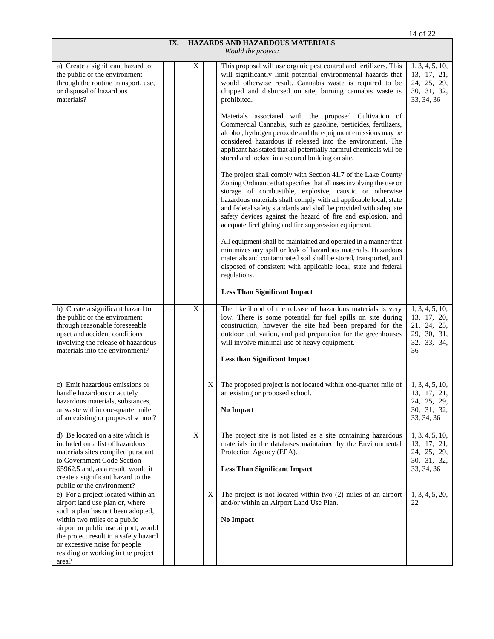|                                                                                                                                                                                                                                                                                                             |     |   |   |                                                                                                                                                                                                                                                                                                                                                                                                                                                                                                                                                                                                                                                                                                                                                                                                                                                                                                                                                                                                                                                                                                                                                                                                                                                                                                                                                                                                                                                                        | 14 of 22                                                                          |
|-------------------------------------------------------------------------------------------------------------------------------------------------------------------------------------------------------------------------------------------------------------------------------------------------------------|-----|---|---|------------------------------------------------------------------------------------------------------------------------------------------------------------------------------------------------------------------------------------------------------------------------------------------------------------------------------------------------------------------------------------------------------------------------------------------------------------------------------------------------------------------------------------------------------------------------------------------------------------------------------------------------------------------------------------------------------------------------------------------------------------------------------------------------------------------------------------------------------------------------------------------------------------------------------------------------------------------------------------------------------------------------------------------------------------------------------------------------------------------------------------------------------------------------------------------------------------------------------------------------------------------------------------------------------------------------------------------------------------------------------------------------------------------------------------------------------------------------|-----------------------------------------------------------------------------------|
|                                                                                                                                                                                                                                                                                                             | IX. |   |   | HAZARDS AND HAZARDOUS MATERIALS<br>Would the project:                                                                                                                                                                                                                                                                                                                                                                                                                                                                                                                                                                                                                                                                                                                                                                                                                                                                                                                                                                                                                                                                                                                                                                                                                                                                                                                                                                                                                  |                                                                                   |
| a) Create a significant hazard to<br>the public or the environment<br>through the routine transport, use,<br>or disposal of hazardous<br>materials?                                                                                                                                                         |     | Χ |   | This proposal will use organic pest control and fertilizers. This<br>will significantly limit potential environmental hazards that<br>would otherwise result. Cannabis waste is required to be<br>chipped and disbursed on site; burning cannabis waste is<br>prohibited.<br>Materials associated with the proposed Cultivation of<br>Commercial Cannabis, such as gasoline, pesticides, fertilizers,<br>alcohol, hydrogen peroxide and the equipment emissions may be<br>considered hazardous if released into the environment. The<br>applicant has stated that all potentially harmful chemicals will be<br>stored and locked in a secured building on site.<br>The project shall comply with Section 41.7 of the Lake County<br>Zoning Ordinance that specifies that all uses involving the use or<br>storage of combustible, explosive, caustic or otherwise<br>hazardous materials shall comply with all applicable local, state<br>and federal safety standards and shall be provided with adequate<br>safety devices against the hazard of fire and explosion, and<br>adequate firefighting and fire suppression equipment.<br>All equipment shall be maintained and operated in a manner that<br>minimizes any spill or leak of hazardous materials. Hazardous<br>materials and contaminated soil shall be stored, transported, and<br>disposed of consistent with applicable local, state and federal<br>regulations.<br><b>Less Than Significant Impact</b> | 1, 3, 4, 5, 10,<br>13, 17, 21,<br>24, 25, 29,<br>30, 31, 32,<br>33, 34, 36        |
| b) Create a significant hazard to<br>the public or the environment<br>through reasonable foreseeable<br>upset and accident conditions<br>involving the release of hazardous<br>materials into the environment?                                                                                              |     | X |   | The likelihood of the release of hazardous materials is very<br>low. There is some potential for fuel spills on site during<br>construction; however the site had been prepared for the<br>outdoor cultivation, and pad preparation for the greenhouses<br>will involve minimal use of heavy equipment.<br><b>Less than Significant Impact</b>                                                                                                                                                                                                                                                                                                                                                                                                                                                                                                                                                                                                                                                                                                                                                                                                                                                                                                                                                                                                                                                                                                                         | 1, 3, 4, 5, 10,<br>13, 17, 20,<br>21, 24, 25,<br>29, 30, 31,<br>32, 33, 34,<br>36 |
| c) Emit hazardous emissions or<br>handle hazardous or acutely<br>hazardous materials, substances,<br>or waste within one-quarter mile<br>of an existing or proposed school?                                                                                                                                 |     |   | X | The proposed project is not located within one-quarter mile of<br>an existing or proposed school.<br><b>No Impact</b>                                                                                                                                                                                                                                                                                                                                                                                                                                                                                                                                                                                                                                                                                                                                                                                                                                                                                                                                                                                                                                                                                                                                                                                                                                                                                                                                                  | 1, 3, 4, 5, 10,<br>13, 17, 21,<br>24, 25, 29,<br>30, 31, 32,<br>33, 34, 36        |
| d) Be located on a site which is<br>included on a list of hazardous<br>materials sites compiled pursuant<br>to Government Code Section<br>65962.5 and, as a result, would it<br>create a significant hazard to the<br>public or the environment?                                                            |     | X |   | The project site is not listed as a site containing hazardous<br>materials in the databases maintained by the Environmental<br>Protection Agency (EPA).<br><b>Less Than Significant Impact</b>                                                                                                                                                                                                                                                                                                                                                                                                                                                                                                                                                                                                                                                                                                                                                                                                                                                                                                                                                                                                                                                                                                                                                                                                                                                                         | 1, 3, 4, 5, 10,<br>13, 17, 21,<br>24, 25, 29,<br>30, 31, 32,<br>33, 34, 36        |
| e) For a project located within an<br>airport land use plan or, where<br>such a plan has not been adopted,<br>within two miles of a public<br>airport or public use airport, would<br>the project result in a safety hazard<br>or excessive noise for people<br>residing or working in the project<br>area? |     |   | X | The project is not located within two (2) miles of an airport<br>and/or within an Airport Land Use Plan.<br>No Impact                                                                                                                                                                                                                                                                                                                                                                                                                                                                                                                                                                                                                                                                                                                                                                                                                                                                                                                                                                                                                                                                                                                                                                                                                                                                                                                                                  | 1, 3, 4, 5, 20,<br>22                                                             |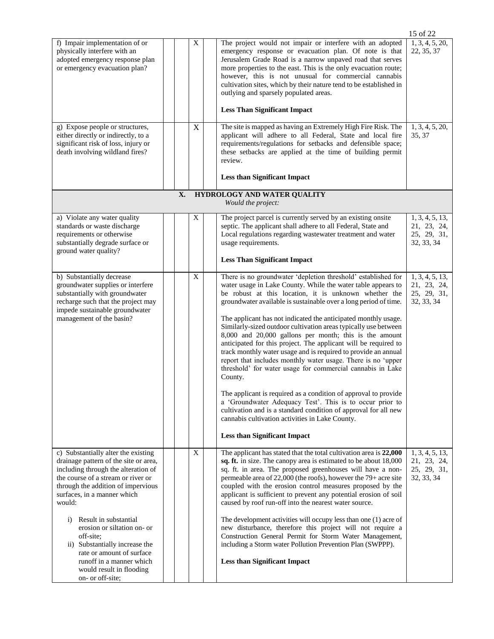|                                                                                                                                                                                                                                                                                                                                                                                                                                                             |    |                  |                                                                                                                                                                                                                                                                                                                                                                                                                                                                                                                                                                                                                                                                                                                                                                                                                                                                                                                                                                                                                                     | 15 of 22                                                    |
|-------------------------------------------------------------------------------------------------------------------------------------------------------------------------------------------------------------------------------------------------------------------------------------------------------------------------------------------------------------------------------------------------------------------------------------------------------------|----|------------------|-------------------------------------------------------------------------------------------------------------------------------------------------------------------------------------------------------------------------------------------------------------------------------------------------------------------------------------------------------------------------------------------------------------------------------------------------------------------------------------------------------------------------------------------------------------------------------------------------------------------------------------------------------------------------------------------------------------------------------------------------------------------------------------------------------------------------------------------------------------------------------------------------------------------------------------------------------------------------------------------------------------------------------------|-------------------------------------------------------------|
| f) Impair implementation of or<br>physically interfere with an<br>adopted emergency response plan<br>or emergency evacuation plan?<br>g) Expose people or structures,                                                                                                                                                                                                                                                                                       |    | X<br>$\mathbf X$ | The project would not impair or interfere with an adopted<br>emergency response or evacuation plan. Of note is that<br>Jerusalem Grade Road is a narrow unpaved road that serves<br>more properties to the east. This is the only evacuation route;<br>however, this is not unusual for commercial cannabis<br>cultivation sites, which by their nature tend to be established in<br>outlying and sparsely populated areas.<br><b>Less Than Significant Impact</b><br>The site is mapped as having an Extremely High Fire Risk. The                                                                                                                                                                                                                                                                                                                                                                                                                                                                                                 | 1, 3, 4, 5, 20,<br>22, 35, 37<br>1, 3, 4, 5, 20,            |
| either directly or indirectly, to a<br>significant risk of loss, injury or<br>death involving wildland fires?                                                                                                                                                                                                                                                                                                                                               | X. |                  | applicant will adhere to all Federal, State and local fire<br>requirements/regulations for setbacks and defensible space;<br>these setbacks are applied at the time of building permit<br>review.<br><b>Less than Significant Impact</b><br>HYDROLOGY AND WATER QUALITY                                                                                                                                                                                                                                                                                                                                                                                                                                                                                                                                                                                                                                                                                                                                                             | 35, 37                                                      |
|                                                                                                                                                                                                                                                                                                                                                                                                                                                             |    |                  | Would the project:                                                                                                                                                                                                                                                                                                                                                                                                                                                                                                                                                                                                                                                                                                                                                                                                                                                                                                                                                                                                                  |                                                             |
| a) Violate any water quality<br>standards or waste discharge<br>requirements or otherwise<br>substantially degrade surface or<br>ground water quality?                                                                                                                                                                                                                                                                                                      |    | X                | The project parcel is currently served by an existing onsite<br>septic. The applicant shall adhere to all Federal, State and<br>Local regulations regarding wastewater treatment and water<br>usage requirements.<br><b>Less Than Significant Impact</b>                                                                                                                                                                                                                                                                                                                                                                                                                                                                                                                                                                                                                                                                                                                                                                            | 1, 3, 4, 5, 13,<br>21, 23, 24,<br>25, 29, 31,<br>32, 33, 34 |
| b) Substantially decrease<br>groundwater supplies or interfere<br>substantially with groundwater<br>recharge such that the project may<br>impede sustainable groundwater<br>management of the basin?                                                                                                                                                                                                                                                        |    | $\overline{X}$   | There is no groundwater 'depletion threshold' established for<br>water usage in Lake County. While the water table appears to<br>be robust at this location, it is unknown whether the<br>groundwater available is sustainable over a long period of time.<br>The applicant has not indicated the anticipated monthly usage.<br>Similarly-sized outdoor cultivation areas typically use between<br>8,000 and 20,000 gallons per month; this is the amount<br>anticipated for this project. The applicant will be required to<br>track monthly water usage and is required to provide an annual<br>report that includes monthly water usage. There is no 'upper<br>threshold' for water usage for commercial cannabis in Lake<br>County.<br>The applicant is required as a condition of approval to provide<br>a 'Groundwater Adequacy Test'. This is to occur prior to<br>cultivation and is a standard condition of approval for all new<br>cannabis cultivation activities in Lake County.<br><b>Less than Significant Impact</b> | 1, 3, 4, 5, 13,<br>21, 23, 24,<br>25, 29, 31,<br>32, 33, 34 |
| c) Substantially alter the existing<br>drainage pattern of the site or area,<br>including through the alteration of<br>the course of a stream or river or<br>through the addition of impervious<br>surfaces, in a manner which<br>would:<br>i) Result in substantial<br>erosion or siltation on- or<br>off-site;<br>ii) Substantially increase the<br>rate or amount of surface<br>runoff in a manner which<br>would result in flooding<br>on- or off-site; |    | $\mathbf X$      | The applicant has stated that the total cultivation area is 22,000<br>sq. ft. in size. The canopy area is estimated to be about 18,000<br>sq. ft. in area. The proposed greenhouses will have a non-<br>permeable area of 22,000 (the roofs), however the 79+ acre site<br>coupled with the erosion control measures proposed by the<br>applicant is sufficient to prevent any potential erosion of soil<br>caused by roof run-off into the nearest water source.<br>The development activities will occupy less than one (1) acre of<br>new disturbance, therefore this project will not require a<br>Construction General Permit for Storm Water Management,<br>including a Storm water Pollution Prevention Plan (SWPPP).<br><b>Less than Significant Impact</b>                                                                                                                                                                                                                                                                 | 1, 3, 4, 5, 13,<br>21, 23, 24,<br>25, 29, 31,<br>32, 33, 34 |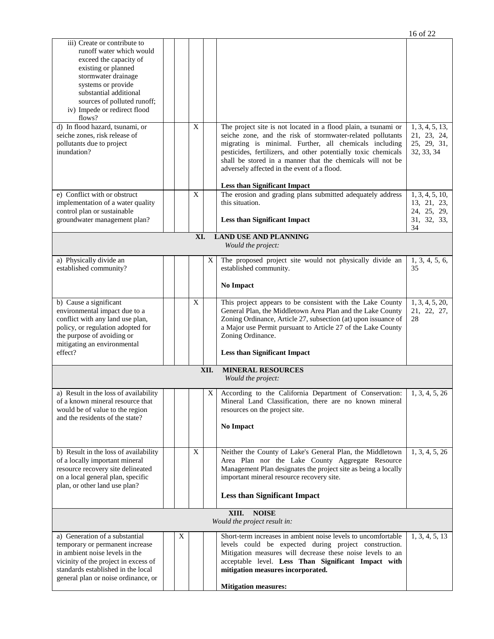|                                                                                                                                                                                                                                                                                                                                                                           |   |             |                |                                                                                                                                                                                                                                                                                                                                                                       | 16 of 22                                                    |
|---------------------------------------------------------------------------------------------------------------------------------------------------------------------------------------------------------------------------------------------------------------------------------------------------------------------------------------------------------------------------|---|-------------|----------------|-----------------------------------------------------------------------------------------------------------------------------------------------------------------------------------------------------------------------------------------------------------------------------------------------------------------------------------------------------------------------|-------------------------------------------------------------|
| iii) Create or contribute to<br>runoff water which would<br>exceed the capacity of<br>existing or planned<br>stormwater drainage<br>systems or provide<br>substantial additional<br>sources of polluted runoff;<br>iv) Impede or redirect flood<br>flows?<br>d) In flood hazard, tsunami, or<br>seiche zones, risk release of<br>pollutants due to project<br>inundation? |   | $\mathbf X$ |                | The project site is not located in a flood plain, a tsunami or<br>seiche zone, and the risk of stormwater-related pollutants<br>migrating is minimal. Further, all chemicals including<br>pesticides, fertilizers, and other potentially toxic chemicals<br>shall be stored in a manner that the chemicals will not be<br>adversely affected in the event of a flood. | 1, 3, 4, 5, 13,<br>21, 23, 24,<br>25, 29, 31,<br>32, 33, 34 |
| e) Conflict with or obstruct                                                                                                                                                                                                                                                                                                                                              |   | X           |                | <b>Less than Significant Impact</b><br>The erosion and grading plans submitted adequately address                                                                                                                                                                                                                                                                     | 1, 3, 4, 5, 10,                                             |
| implementation of a water quality<br>control plan or sustainable<br>groundwater management plan?                                                                                                                                                                                                                                                                          |   |             |                | this situation.<br><b>Less than Significant Impact</b>                                                                                                                                                                                                                                                                                                                | 13, 21, 23,<br>24, 25, 29,<br>31, 32, 33,<br>34             |
|                                                                                                                                                                                                                                                                                                                                                                           |   | XI.         |                | <b>LAND USE AND PLANNING</b><br>Would the project:                                                                                                                                                                                                                                                                                                                    |                                                             |
| a) Physically divide an                                                                                                                                                                                                                                                                                                                                                   |   |             | X              | The proposed project site would not physically divide an                                                                                                                                                                                                                                                                                                              | 1, 3, 4, 5, 6,                                              |
| established community?                                                                                                                                                                                                                                                                                                                                                    |   |             |                | established community.<br>No Impact                                                                                                                                                                                                                                                                                                                                   | 35                                                          |
| b) Cause a significant<br>environmental impact due to a<br>conflict with any land use plan,<br>policy, or regulation adopted for<br>the purpose of avoiding or<br>mitigating an environmental<br>effect?                                                                                                                                                                  |   | X           |                | This project appears to be consistent with the Lake County<br>General Plan, the Middletown Area Plan and the Lake County<br>Zoning Ordinance, Article 27, subsection (at) upon issuance of<br>a Major use Permit pursuant to Article 27 of the Lake County<br>Zoning Ordinance.<br><b>Less than Significant Impact</b>                                                | 1, 3, 4, 5, 20,<br>21, 22, 27,<br>28                        |
|                                                                                                                                                                                                                                                                                                                                                                           |   |             | XII.           | <b>MINERAL RESOURCES</b><br>Would the project:                                                                                                                                                                                                                                                                                                                        |                                                             |
| a) Result in the loss of availability<br>of a known mineral resource that<br>would be of value to the region<br>and the residents of the state?                                                                                                                                                                                                                           |   |             | X <sub>1</sub> | According to the California Department of Conservation:<br>Mineral Land Classification, there are no known mineral<br>resources on the project site.<br>No Impact                                                                                                                                                                                                     | 1, 3, 4, 5, 26                                              |
| b) Result in the loss of availability<br>of a locally important mineral<br>resource recovery site delineated<br>on a local general plan, specific<br>plan, or other land use plan?                                                                                                                                                                                        |   | X           |                | Neither the County of Lake's General Plan, the Middletown<br>Area Plan nor the Lake County Aggregate Resource<br>Management Plan designates the project site as being a locally<br>important mineral resource recovery site.<br><b>Less than Significant Impact</b>                                                                                                   | 1, 3, 4, 5, 26                                              |
|                                                                                                                                                                                                                                                                                                                                                                           |   |             |                | XIII.<br><b>NOISE</b><br>Would the project result in:                                                                                                                                                                                                                                                                                                                 |                                                             |
| a) Generation of a substantial<br>temporary or permanent increase<br>in ambient noise levels in the<br>vicinity of the project in excess of<br>standards established in the local<br>general plan or noise ordinance, or                                                                                                                                                  | X |             |                | Short-term increases in ambient noise levels to uncomfortable<br>levels could be expected during project construction.<br>Mitigation measures will decrease these noise levels to an<br>acceptable level. Less Than Significant Impact with<br>mitigation measures incorporated.<br><b>Mitigation measures:</b>                                                       | 1, 3, 4, 5, 13                                              |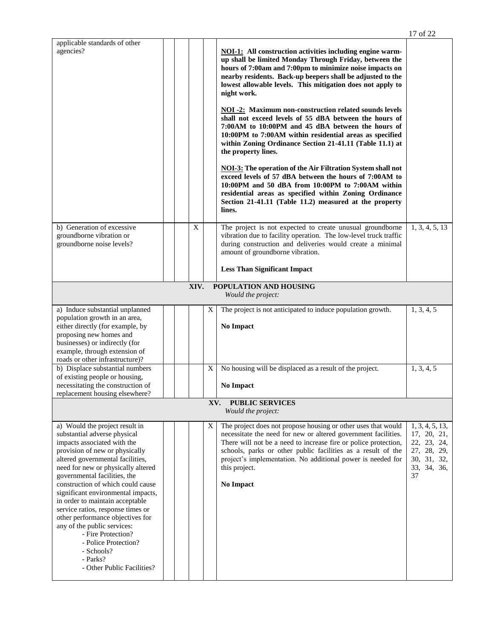|                                                                                                                                                                                                                                                                                                                                                                                                                                                                                                                                                                       |  |  |   |     |                                                                                                                                                                                                                                                                                                                                                                                                                                                                                                                                                                                                                                                                                                                                                                                                                                                                                                                                                                                  | 17 of 22                                                                                         |  |  |
|-----------------------------------------------------------------------------------------------------------------------------------------------------------------------------------------------------------------------------------------------------------------------------------------------------------------------------------------------------------------------------------------------------------------------------------------------------------------------------------------------------------------------------------------------------------------------|--|--|---|-----|----------------------------------------------------------------------------------------------------------------------------------------------------------------------------------------------------------------------------------------------------------------------------------------------------------------------------------------------------------------------------------------------------------------------------------------------------------------------------------------------------------------------------------------------------------------------------------------------------------------------------------------------------------------------------------------------------------------------------------------------------------------------------------------------------------------------------------------------------------------------------------------------------------------------------------------------------------------------------------|--------------------------------------------------------------------------------------------------|--|--|
| applicable standards of other<br>agencies?                                                                                                                                                                                                                                                                                                                                                                                                                                                                                                                            |  |  |   |     | <b>NOI-1:</b> All construction activities including engine warm-<br>up shall be limited Monday Through Friday, between the<br>hours of 7:00am and 7:00pm to minimize noise impacts on<br>nearby residents. Back-up beepers shall be adjusted to the<br>lowest allowable levels. This mitigation does not apply to<br>night work.<br><b>NOI -2:</b> Maximum non-construction related sounds levels<br>shall not exceed levels of 55 dBA between the hours of<br>7:00AM to 10:00PM and 45 dBA between the hours of<br>10:00PM to 7:00AM within residential areas as specified<br>within Zoning Ordinance Section 21-41.11 (Table 11.1) at<br>the property lines.<br><b>NOI-3:</b> The operation of the Air Filtration System shall not<br>exceed levels of 57 dBA between the hours of 7:00AM to<br>10:00PM and 50 dBA from 10:00PM to 7:00AM within<br>residential areas as specified within Zoning Ordinance<br>Section 21-41.11 (Table 11.2) measured at the property<br>lines. |                                                                                                  |  |  |
| b) Generation of excessive<br>groundborne vibration or<br>groundborne noise levels?                                                                                                                                                                                                                                                                                                                                                                                                                                                                                   |  |  | X |     | The project is not expected to create unusual groundborne<br>vibration due to facility operation. The low-level truck traffic<br>during construction and deliveries would create a minimal<br>amount of groundborne vibration.<br><b>Less Than Significant Impact</b>                                                                                                                                                                                                                                                                                                                                                                                                                                                                                                                                                                                                                                                                                                            | 1, 3, 4, 5, 13                                                                                   |  |  |
| XIV.<br>POPULATION AND HOUSING<br>Would the project:                                                                                                                                                                                                                                                                                                                                                                                                                                                                                                                  |  |  |   |     |                                                                                                                                                                                                                                                                                                                                                                                                                                                                                                                                                                                                                                                                                                                                                                                                                                                                                                                                                                                  |                                                                                                  |  |  |
| a) Induce substantial unplanned<br>population growth in an area,<br>either directly (for example, by<br>proposing new homes and<br>businesses) or indirectly (for<br>example, through extension of<br>roads or other infrastructure)?                                                                                                                                                                                                                                                                                                                                 |  |  |   | X   | The project is not anticipated to induce population growth.<br>No Impact                                                                                                                                                                                                                                                                                                                                                                                                                                                                                                                                                                                                                                                                                                                                                                                                                                                                                                         | 1, 3, 4, 5                                                                                       |  |  |
| b) Displace substantial numbers<br>of existing people or housing,<br>necessitating the construction of<br>replacement housing elsewhere?                                                                                                                                                                                                                                                                                                                                                                                                                              |  |  |   | Χ   | No housing will be displaced as a result of the project.<br>No Impact                                                                                                                                                                                                                                                                                                                                                                                                                                                                                                                                                                                                                                                                                                                                                                                                                                                                                                            | 1, 3, 4, 5                                                                                       |  |  |
|                                                                                                                                                                                                                                                                                                                                                                                                                                                                                                                                                                       |  |  |   | XV. | <b>PUBLIC SERVICES</b><br>Would the project:                                                                                                                                                                                                                                                                                                                                                                                                                                                                                                                                                                                                                                                                                                                                                                                                                                                                                                                                     |                                                                                                  |  |  |
| a) Would the project result in<br>substantial adverse physical<br>impacts associated with the<br>provision of new or physically<br>altered governmental facilities,<br>need for new or physically altered<br>governmental facilities, the<br>construction of which could cause<br>significant environmental impacts,<br>in order to maintain acceptable<br>service ratios, response times or<br>other performance objectives for<br>any of the public services:<br>- Fire Protection?<br>- Police Protection?<br>- Schools?<br>- Parks?<br>- Other Public Facilities? |  |  |   | X   | The project does not propose housing or other uses that would<br>necessitate the need for new or altered government facilities.<br>There will not be a need to increase fire or police protection,<br>schools, parks or other public facilities as a result of the<br>project's implementation. No additional power is needed for<br>this project.<br>No Impact                                                                                                                                                                                                                                                                                                                                                                                                                                                                                                                                                                                                                  | 1, 3, 4, 5, 13,<br>17, 20, 21,<br>22, 23, 24,<br>27, 28, 29,<br>30, 31, 32,<br>33, 34, 36,<br>37 |  |  |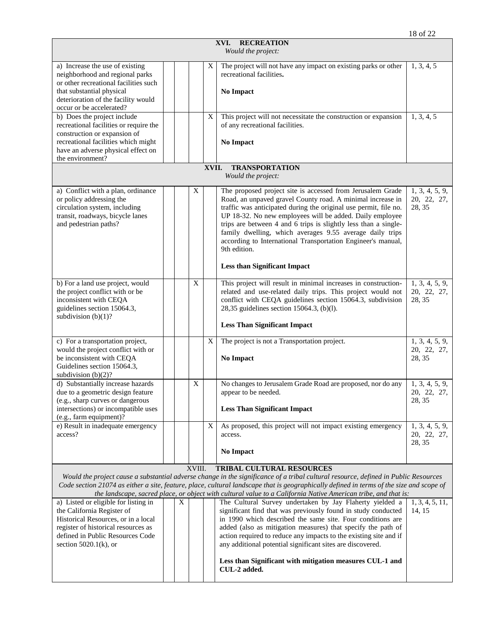|                                                                                                                                                                                                             |  |   |       | XVI.<br><b>RECREATION</b><br>Would the project:                                                                                                                                                                                                                                                                                                                                                                                                                                                                |                                         |
|-------------------------------------------------------------------------------------------------------------------------------------------------------------------------------------------------------------|--|---|-------|----------------------------------------------------------------------------------------------------------------------------------------------------------------------------------------------------------------------------------------------------------------------------------------------------------------------------------------------------------------------------------------------------------------------------------------------------------------------------------------------------------------|-----------------------------------------|
| a) Increase the use of existing<br>neighborhood and regional parks<br>or other recreational facilities such<br>that substantial physical<br>deterioration of the facility would<br>occur or be accelerated? |  |   | X     | The project will not have any impact on existing parks or other<br>recreational facilities.<br><b>No Impact</b>                                                                                                                                                                                                                                                                                                                                                                                                | 1, 3, 4, 5                              |
| b) Does the project include<br>recreational facilities or require the<br>construction or expansion of<br>recreational facilities which might<br>have an adverse physical effect on<br>the environment?      |  |   | X     | This project will not necessitate the construction or expansion<br>of any recreational facilities.<br><b>No Impact</b>                                                                                                                                                                                                                                                                                                                                                                                         | 1, 3, 4, 5                              |
|                                                                                                                                                                                                             |  |   | XVII. | <b>TRANSPORTATION</b><br>Would the project:                                                                                                                                                                                                                                                                                                                                                                                                                                                                    |                                         |
| a) Conflict with a plan, ordinance<br>or policy addressing the<br>circulation system, including<br>transit, roadways, bicycle lanes<br>and pedestrian paths?                                                |  | X |       | The proposed project site is accessed from Jerusalem Grade<br>Road, an unpaved gravel County road. A minimal increase in<br>traffic was anticipated during the original use permit, file no.<br>UP 18-32. No new employees will be added. Daily employee<br>trips are between 4 and 6 trips is slightly less than a single-<br>family dwelling, which averages 9.55 average daily trips<br>according to International Transportation Engineer's manual,<br>9th edition.<br><b>Less than Significant Impact</b> | 1, 3, 4, 5, 9,<br>20, 22, 27,<br>28, 35 |
| b) For a land use project, would<br>the project conflict with or be<br>inconsistent with CEOA<br>guidelines section 15064.3,<br>subdivision $(b)(1)$ ?                                                      |  | X |       | This project will result in minimal increases in construction-<br>related and use-related daily trips. This project would not<br>conflict with CEQA guidelines section 15064.3, subdivision<br>28,35 guidelines section 15064.3, (b)(l).<br><b>Less Than Significant Impact</b>                                                                                                                                                                                                                                | 1, 3, 4, 5, 9,<br>20, 22, 27,<br>28, 35 |
| c) For a transportation project,<br>would the project conflict with or<br>be inconsistent with CEQA<br>Guidelines section 15064.3,<br>subdivision $(b)(2)$ ?                                                |  |   | X     | The project is not a Transportation project.<br><b>No Impact</b>                                                                                                                                                                                                                                                                                                                                                                                                                                               | 1, 3, 4, 5, 9,<br>20, 22, 27,<br>28, 35 |
| d) Substantially increase hazards<br>due to a geometric design feature<br>(e.g., sharp curves or dangerous<br>intersections) or incompatible uses<br>(e.g., farm equipment)?                                |  | X |       | No changes to Jerusalem Grade Road are proposed, nor do any<br>appear to be needed.<br><b>Less Than Significant Impact</b>                                                                                                                                                                                                                                                                                                                                                                                     | 1, 3, 4, 5, 9,<br>20, 22, 27,<br>28, 35 |
| e) Result in inadequate emergency<br>access?                                                                                                                                                                |  |   | X     | As proposed, this project will not impact existing emergency<br>access.<br>No Impact                                                                                                                                                                                                                                                                                                                                                                                                                           | 1, 3, 4, 5, 9,<br>20, 22, 27,<br>28, 35 |

#### XVIII. **TRIBAL CULTURAL RESOURCES**

*Would the project cause a substantial adverse change in the significance of a tribal cultural resource, defined in Public Resources Code section 21074 as either a site, feature, place, cultural landscape that is geographically defined in terms of the size and scope of the landscape, sacred place, or object with cultural value to a California Native American tribe, and that is:*

| a) Listed or eligible for listing in | X |  | The Cultural Survey undertaken by Jay Flaherty yielded a $\vert 1, 3, 4, 5, 11, \vert$ |       |
|--------------------------------------|---|--|----------------------------------------------------------------------------------------|-------|
| the California Register of           |   |  | significant find that was previously found in study conducted                          | 14.15 |
| Historical Resources, or in a local  |   |  | in 1990 which described the same site. Four conditions are                             |       |
| register of historical resources as  |   |  | added (also as mitigation measures) that specify the path of                           |       |
| defined in Public Resources Code     |   |  | action required to reduce any impacts to the existing site and if                      |       |
| section $5020.1(k)$ , or             |   |  | any additional potential significant sites are discovered.                             |       |
|                                      |   |  | Less than Significant with mitigation measures CUL-1 and<br>CUL-2 added.               |       |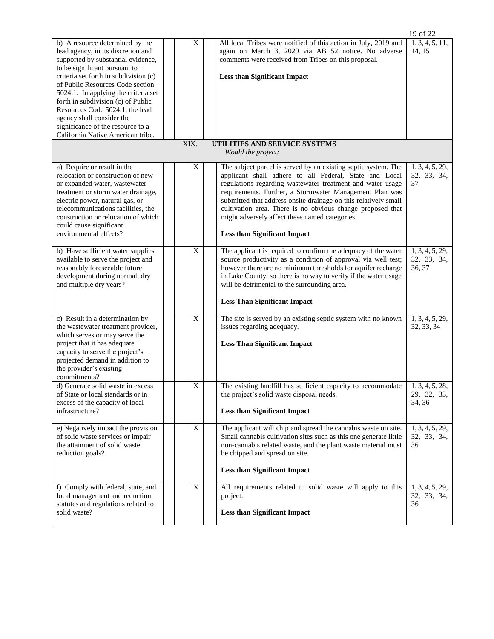|                                                                                                                                                                                                                                                                                                              |  |  |             |  |                                                                                                                                                                                                                                                                                                                                                                                                                                                                             | 19 of 22                                 |  |  |  |
|--------------------------------------------------------------------------------------------------------------------------------------------------------------------------------------------------------------------------------------------------------------------------------------------------------------|--|--|-------------|--|-----------------------------------------------------------------------------------------------------------------------------------------------------------------------------------------------------------------------------------------------------------------------------------------------------------------------------------------------------------------------------------------------------------------------------------------------------------------------------|------------------------------------------|--|--|--|
| b) A resource determined by the<br>lead agency, in its discretion and<br>supported by substantial evidence,<br>to be significant pursuant to                                                                                                                                                                 |  |  | X           |  | All local Tribes were notified of this action in July, 2019 and<br>again on March 3, 2020 via AB 52 notice. No adverse<br>comments were received from Tribes on this proposal.                                                                                                                                                                                                                                                                                              | 1, 3, 4, 5, 11,<br>14, 15                |  |  |  |
| criteria set forth in subdivision (c)<br>of Public Resources Code section<br>5024.1. In applying the criteria set                                                                                                                                                                                            |  |  |             |  | <b>Less than Significant Impact</b>                                                                                                                                                                                                                                                                                                                                                                                                                                         |                                          |  |  |  |
| forth in subdivision (c) of Public<br>Resources Code 5024.1, the lead                                                                                                                                                                                                                                        |  |  |             |  |                                                                                                                                                                                                                                                                                                                                                                                                                                                                             |                                          |  |  |  |
| agency shall consider the<br>significance of the resource to a<br>California Native American tribe.                                                                                                                                                                                                          |  |  |             |  |                                                                                                                                                                                                                                                                                                                                                                                                                                                                             |                                          |  |  |  |
| XIX.<br>UTILITIES AND SERVICE SYSTEMS<br>Would the project:                                                                                                                                                                                                                                                  |  |  |             |  |                                                                                                                                                                                                                                                                                                                                                                                                                                                                             |                                          |  |  |  |
| a) Require or result in the<br>relocation or construction of new<br>or expanded water, wastewater<br>treatment or storm water drainage,<br>electric power, natural gas, or<br>telecommunications facilities, the<br>construction or relocation of which<br>could cause significant<br>environmental effects? |  |  | X           |  | The subject parcel is served by an existing septic system. The<br>applicant shall adhere to all Federal, State and Local<br>regulations regarding wastewater treatment and water usage<br>requirements. Further, a Stormwater Management Plan was<br>submitted that address onsite drainage on this relatively small<br>cultivation area. There is no obvious change proposed that<br>might adversely affect these named categories.<br><b>Less than Significant Impact</b> | 1, 3, 4, 5, 29,<br>32, 33, 34,<br>37     |  |  |  |
| b) Have sufficient water supplies<br>available to serve the project and<br>reasonably foreseeable future<br>development during normal, dry<br>and multiple dry years?                                                                                                                                        |  |  | $\mathbf X$ |  | The applicant is required to confirm the adequacy of the water<br>source productivity as a condition of approval via well test;<br>however there are no minimum thresholds for aquifer recharge<br>in Lake County, so there is no way to verify if the water usage<br>will be detrimental to the surrounding area.                                                                                                                                                          | 1, 3, 4, 5, 29,<br>32, 33, 34,<br>36, 37 |  |  |  |
|                                                                                                                                                                                                                                                                                                              |  |  |             |  | <b>Less Than Significant Impact</b>                                                                                                                                                                                                                                                                                                                                                                                                                                         |                                          |  |  |  |
| c) Result in a determination by<br>the wastewater treatment provider,<br>which serves or may serve the                                                                                                                                                                                                       |  |  | X           |  | The site is served by an existing septic system with no known<br>issues regarding adequacy.                                                                                                                                                                                                                                                                                                                                                                                 | 1, 3, 4, 5, 29,<br>32, 33, 34            |  |  |  |
| project that it has adequate<br>capacity to serve the project's<br>projected demand in addition to<br>the provider's existing<br>commitments?                                                                                                                                                                |  |  |             |  | <b>Less Than Significant Impact</b>                                                                                                                                                                                                                                                                                                                                                                                                                                         |                                          |  |  |  |
| d) Generate solid waste in excess<br>of State or local standards or in<br>excess of the capacity of local                                                                                                                                                                                                    |  |  | X           |  | The existing landfill has sufficient capacity to accommodate<br>the project's solid waste disposal needs.                                                                                                                                                                                                                                                                                                                                                                   | 1, 3, 4, 5, 28,<br>29, 32, 33,<br>34, 36 |  |  |  |
| infrastructure?                                                                                                                                                                                                                                                                                              |  |  |             |  | <b>Less than Significant Impact</b>                                                                                                                                                                                                                                                                                                                                                                                                                                         |                                          |  |  |  |
| e) Negatively impact the provision<br>of solid waste services or impair<br>the attainment of solid waste<br>reduction goals?                                                                                                                                                                                 |  |  | X           |  | The applicant will chip and spread the cannabis waste on site.<br>Small cannabis cultivation sites such as this one generate little<br>non-cannabis related waste, and the plant waste material must<br>be chipped and spread on site.                                                                                                                                                                                                                                      | 1, 3, 4, 5, 29,<br>32, 33, 34,<br>36     |  |  |  |
|                                                                                                                                                                                                                                                                                                              |  |  |             |  | <b>Less than Significant Impact</b>                                                                                                                                                                                                                                                                                                                                                                                                                                         |                                          |  |  |  |
| f) Comply with federal, state, and<br>local management and reduction<br>statutes and regulations related to<br>solid waste?                                                                                                                                                                                  |  |  | X           |  | All requirements related to solid waste will apply to this<br>project.<br><b>Less than Significant Impact</b>                                                                                                                                                                                                                                                                                                                                                               | 1, 3, 4, 5, 29,<br>32, 33, 34,<br>36     |  |  |  |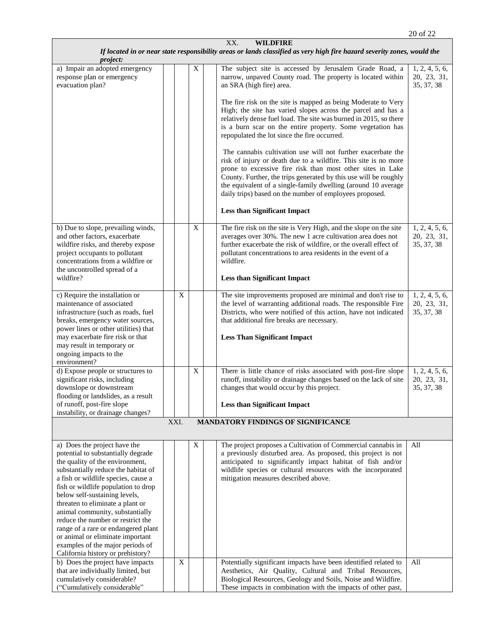| XX.<br><b>WILDFIRE</b>                                                                                                                                                                                                                                                                                                                                                                                                                                                                                                      |  |      |             |  |                                                                                                                                                                                                                                                                                                                                                                                                                                                                                                                                                                                                                                                                                                                                                                                                                                                                                                                |                                             |  |  |  |
|-----------------------------------------------------------------------------------------------------------------------------------------------------------------------------------------------------------------------------------------------------------------------------------------------------------------------------------------------------------------------------------------------------------------------------------------------------------------------------------------------------------------------------|--|------|-------------|--|----------------------------------------------------------------------------------------------------------------------------------------------------------------------------------------------------------------------------------------------------------------------------------------------------------------------------------------------------------------------------------------------------------------------------------------------------------------------------------------------------------------------------------------------------------------------------------------------------------------------------------------------------------------------------------------------------------------------------------------------------------------------------------------------------------------------------------------------------------------------------------------------------------------|---------------------------------------------|--|--|--|
| If located in or near state responsibility areas or lands classified as very high fire hazard severity zones, would the                                                                                                                                                                                                                                                                                                                                                                                                     |  |      |             |  |                                                                                                                                                                                                                                                                                                                                                                                                                                                                                                                                                                                                                                                                                                                                                                                                                                                                                                                |                                             |  |  |  |
| <i>project:</i><br>a) Impair an adopted emergency<br>response plan or emergency<br>evacuation plan?                                                                                                                                                                                                                                                                                                                                                                                                                         |  |      | X           |  | The subject site is accessed by Jerusalem Grade Road, a<br>narrow, unpaved County road. The property is located within<br>an SRA (high fire) area.<br>The fire risk on the site is mapped as being Moderate to Very<br>High; the site has varied slopes across the parcel and has a<br>relatively dense fuel load. The site was burned in 2015, so there<br>is a burn scar on the entire property. Some vegetation has<br>repopulated the lot since the fire occurred.<br>The cannabis cultivation use will not further exacerbate the<br>risk of injury or death due to a wildfire. This site is no more<br>prone to excessive fire risk than most other sites in Lake<br>County. Further, the trips generated by this use will be roughly<br>the equivalent of a single-family dwelling (around 10 average<br>daily trips) based on the number of employees proposed.<br><b>Less than Significant Impact</b> | 1, 2, 4, 5, 6,<br>20, 23, 31,<br>35, 37, 38 |  |  |  |
|                                                                                                                                                                                                                                                                                                                                                                                                                                                                                                                             |  |      |             |  |                                                                                                                                                                                                                                                                                                                                                                                                                                                                                                                                                                                                                                                                                                                                                                                                                                                                                                                |                                             |  |  |  |
| b) Due to slope, prevailing winds,<br>and other factors, exacerbate<br>wildfire risks, and thereby expose<br>project occupants to pollutant<br>concentrations from a wildfire or<br>the uncontrolled spread of a<br>wildfire?                                                                                                                                                                                                                                                                                               |  |      | $\mathbf X$ |  | The fire risk on the site is Very High, and the slope on the site<br>averages over 30%. The new 1 acre cultivation area does not<br>further exacerbate the risk of wildfire, or the overall effect of<br>pollutant concentrations to area residents in the event of a<br>wildfire.<br><b>Less than Significant Impact</b>                                                                                                                                                                                                                                                                                                                                                                                                                                                                                                                                                                                      | 1, 2, 4, 5, 6,<br>20, 23, 31,<br>35, 37, 38 |  |  |  |
| c) Require the installation or                                                                                                                                                                                                                                                                                                                                                                                                                                                                                              |  | X    |             |  | The site improvements proposed are minimal and don't rise to                                                                                                                                                                                                                                                                                                                                                                                                                                                                                                                                                                                                                                                                                                                                                                                                                                                   | 1, 2, 4, 5, 6,                              |  |  |  |
| maintenance of associated<br>infrastructure (such as roads, fuel<br>breaks, emergency water sources,<br>power lines or other utilities) that<br>may exacerbate fire risk or that<br>may result in temporary or<br>ongoing impacts to the<br>environment?                                                                                                                                                                                                                                                                    |  |      |             |  | the level of warranting additional roads. The responsible Fire<br>Districts, who were notified of this action, have not indicated<br>that additional fire breaks are necessary.<br><b>Less Than Significant Impact</b>                                                                                                                                                                                                                                                                                                                                                                                                                                                                                                                                                                                                                                                                                         | 20, 23, 31,<br>35, 37, 38                   |  |  |  |
| d) Expose people or structures to<br>significant risks, including<br>downslope or downstream<br>flooding or landslides, as a result                                                                                                                                                                                                                                                                                                                                                                                         |  |      | X           |  | There is little chance of risks associated with post-fire slope<br>runoff, instability or drainage changes based on the lack of site<br>changes that would occur by this project.                                                                                                                                                                                                                                                                                                                                                                                                                                                                                                                                                                                                                                                                                                                              | 1, 2, 4, 5, 6,<br>20, 23, 31,<br>35, 37, 38 |  |  |  |
| of runoff, post-fire slope<br>instability, or drainage changes?                                                                                                                                                                                                                                                                                                                                                                                                                                                             |  |      |             |  | <b>Less than Significant Impact</b>                                                                                                                                                                                                                                                                                                                                                                                                                                                                                                                                                                                                                                                                                                                                                                                                                                                                            |                                             |  |  |  |
|                                                                                                                                                                                                                                                                                                                                                                                                                                                                                                                             |  | XXI. |             |  | MANDATORY FINDINGS OF SIGNIFICANCE                                                                                                                                                                                                                                                                                                                                                                                                                                                                                                                                                                                                                                                                                                                                                                                                                                                                             |                                             |  |  |  |
|                                                                                                                                                                                                                                                                                                                                                                                                                                                                                                                             |  |      |             |  |                                                                                                                                                                                                                                                                                                                                                                                                                                                                                                                                                                                                                                                                                                                                                                                                                                                                                                                |                                             |  |  |  |
| a) Does the project have the<br>potential to substantially degrade<br>the quality of the environment,<br>substantially reduce the habitat of<br>a fish or wildlife species, cause a<br>fish or wildlife population to drop<br>below self-sustaining levels,<br>threaten to eliminate a plant or<br>animal community, substantially<br>reduce the number or restrict the<br>range of a rare or endangered plant<br>or animal or eliminate important<br>examples of the major periods of<br>California history or prehistory? |  |      | X           |  | The project proposes a Cultivation of Commercial cannabis in<br>a previously disturbed area. As proposed, this project is not<br>anticipated to significantly impact habitat of fish and/or<br>wildlife species or cultural resources with the incorporated<br>mitigation measures described above.                                                                                                                                                                                                                                                                                                                                                                                                                                                                                                                                                                                                            | All                                         |  |  |  |
| b) Does the project have impacts<br>that are individually limited, but<br>cumulatively considerable?<br>("Cumulatively considerable"                                                                                                                                                                                                                                                                                                                                                                                        |  | X    |             |  | Potentially significant impacts have been identified related to<br>Aesthetics, Air Quality, Cultural and Tribal Resources,<br>Biological Resources, Geology and Soils, Noise and Wildfire.<br>These impacts in combination with the impacts of other past,                                                                                                                                                                                                                                                                                                                                                                                                                                                                                                                                                                                                                                                     | All                                         |  |  |  |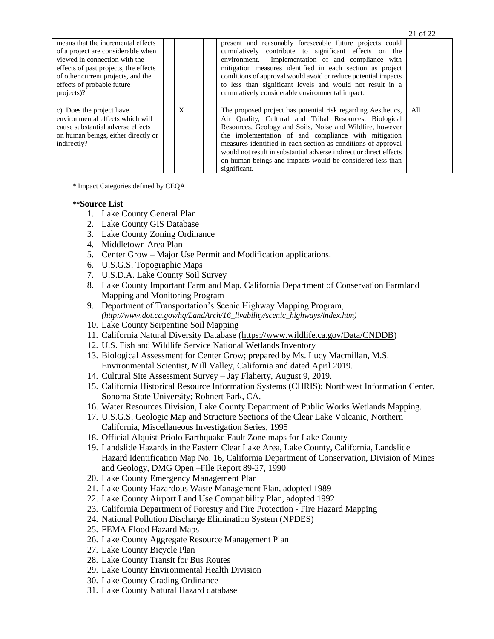| means that the incremental effects<br>of a project are considerable when<br>viewed in connection with the<br>effects of past projects, the effects<br>of other current projects, and the<br>effects of probable future<br>projects)? |   |  | present and reasonably foreseeable future projects could<br>cumulatively contribute to significant effects on the<br>environment. Implementation of and compliance with<br>mitigation measures identified in each section as project<br>conditions of approval would avoid or reduce potential impacts<br>to less than significant levels and would not result in a<br>cumulatively considerable environmental impact.                                           |     |
|--------------------------------------------------------------------------------------------------------------------------------------------------------------------------------------------------------------------------------------|---|--|------------------------------------------------------------------------------------------------------------------------------------------------------------------------------------------------------------------------------------------------------------------------------------------------------------------------------------------------------------------------------------------------------------------------------------------------------------------|-----|
| c) Does the project have<br>environmental effects which will<br>cause substantial adverse effects<br>on human beings, either directly or<br>indirectly?                                                                              | X |  | The proposed project has potential risk regarding Aesthetics,<br>Air Quality, Cultural and Tribal Resources, Biological<br>Resources, Geology and Soils, Noise and Wildfire, however<br>the implementation of and compliance with mitigation<br>measures identified in each section as conditions of approval<br>would not result in substantial adverse indirect or direct effects<br>on human beings and impacts would be considered less than<br>significant. | All |

21 of 22

\* Impact Categories defined by CEQA

#### **\*\*Source List**

- 1. Lake County General Plan
- 2. Lake County GIS Database
- 3. Lake County Zoning Ordinance
- 4. Middletown Area Plan
- 5. Center Grow Major Use Permit and Modification applications.
- 6. U.S.G.S. Topographic Maps
- 7. U.S.D.A. Lake County Soil Survey
- 8. Lake County Important Farmland Map, California Department of Conservation Farmland Mapping and Monitoring Program
- 9. Department of Transportation's Scenic Highway Mapping Program, *(http://www.dot.ca.gov/hq/LandArch/16\_livability/scenic\_highways/index.htm)*
- 10. Lake County Serpentine Soil Mapping
- 11. California Natural Diversity Database [\(https://www.wildlife.ca.gov/Data/CNDDB\)](https://www.wildlife.ca.gov/Data/CNDDB)
- 12. U.S. Fish and Wildlife Service National Wetlands Inventory
- 13. Biological Assessment for Center Grow; prepared by Ms. Lucy Macmillan, M.S. Environmental Scientist, Mill Valley, California and dated April 2019.
- 14. Cultural Site Assessment Survey Jay Flaherty, August 9, 2019.
- 15. California Historical Resource Information Systems (CHRIS); Northwest Information Center, Sonoma State University; Rohnert Park, CA.
- 16. Water Resources Division, Lake County Department of Public Works Wetlands Mapping.
- 17. U.S.G.S. Geologic Map and Structure Sections of the Clear Lake Volcanic, Northern California, Miscellaneous Investigation Series, 1995
- 18. Official Alquist-Priolo Earthquake Fault Zone maps for Lake County
- 19. Landslide Hazards in the Eastern Clear Lake Area, Lake County, California, Landslide Hazard Identification Map No. 16, California Department of Conservation, Division of Mines and Geology, DMG Open –File Report 89-27, 1990
- 20. Lake County Emergency Management Plan
- 21. Lake County Hazardous Waste Management Plan, adopted 1989
- 22. Lake County Airport Land Use Compatibility Plan, adopted 1992
- 23. California Department of Forestry and Fire Protection Fire Hazard Mapping
- 24. National Pollution Discharge Elimination System (NPDES)
- 25. FEMA Flood Hazard Maps
- 26. Lake County Aggregate Resource Management Plan
- 27. Lake County Bicycle Plan
- 28. Lake County Transit for Bus Routes
- 29. Lake County Environmental Health Division
- 30. Lake County Grading Ordinance
- 31. Lake County Natural Hazard database